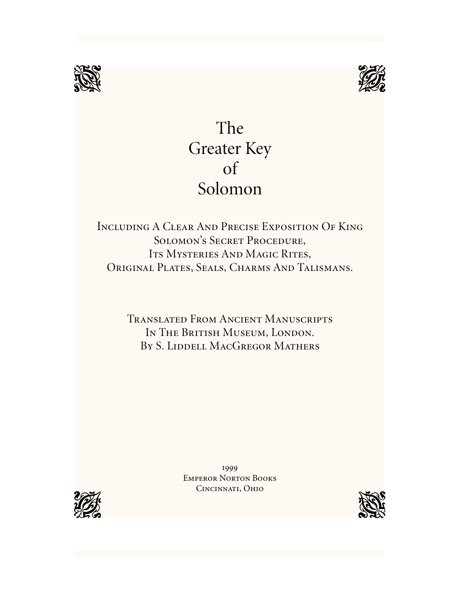



# The Greater Key of Solomon

Including A Clear And Precise Exposition Of King SOLOMON'S SECRET PROCEDURE, Its Mysteries And Magic Rites, Original Plates, Seals, Charms And Talismans.

> Translated From Ancient Manuscripts IN THE BRITISH MUSEUM, LONDON. By S. Liddell MacGregor Mathers

> > 1999 Emperor Norton Books Cincinnati, Ohio



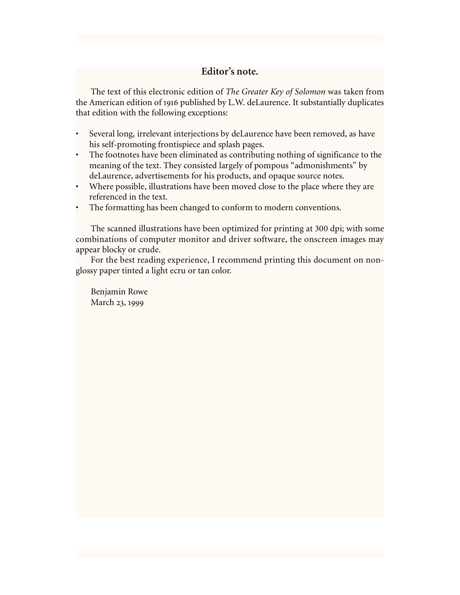### **Editor's note.**

The text of this electronic edition of *The Greater Key of Solomon* was taken from the American edition of 1916 published by L.W. deLaurence. It substantially duplicates that edition with the following exceptions:

- Several long, irrelevant interjections by deLaurence have been removed, as have his self-promoting frontispiece and splash pages.
- The footnotes have been eliminated as contributing nothing of significance to the meaning of the text. They consisted largely of pompous "admonishments" by deLaurence, advertisements for his products, and opaque source notes.
- Where possible, illustrations have been moved close to the place where they are referenced in the text.
- The formatting has been changed to conform to modern conventions.

The scanned illustrations have been optimized for printing at 300 dpi; with some combinations of computer monitor and driver software, the onscreen images may appear blocky or crude.

For the best reading experience, I recommend printing this document on nonglossy paper tinted a light ecru or tan color.

Benjamin Rowe March 23, 1999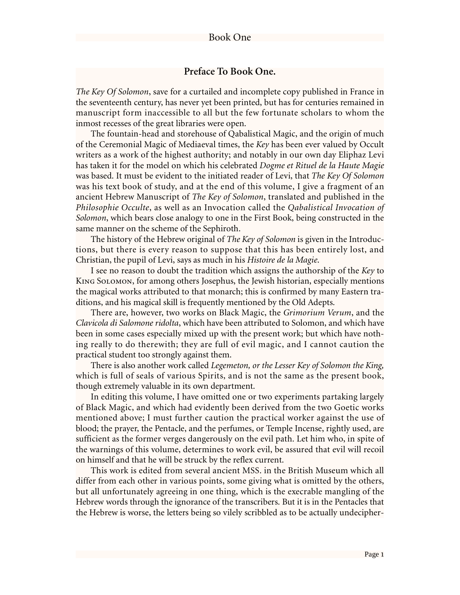#### **Preface To Book One.**

*The Key Of Solomon*, save for a curtailed and incomplete copy published in France in the seventeenth century, has never yet been printed, but has for centuries remained in manuscript form inaccessible to all but the few fortunate scholars to whom the inmost recesses of the great libraries were open.

The fountain-head and storehouse of Qabalistical Magic, and the origin of much of the Ceremonial Magic of Mediaeval times, the *Key* has been ever valued by Occult writers as a work of the highest authority; and notably in our own day Eliphaz Levi has taken it for the model on which his celebrated *Dogme et Rituel de la Haute Magie* was based. It must be evident to the initiated reader of Levi, that *The Key Of Solomon* was his text book of study, and at the end of this volume, I give a fragment of an ancient Hebrew Manuscript of *The Key of Solomon*, translated and published in the *Philosophie Occulte*, as well as an Invocation called the *Qabalistical Invocation of Solomon*, which bears close analogy to one in the First Book, being constructed in the same manner on the scheme of the Sephiroth.

The history of the Hebrew original of *The Key of Solomon* is given in the Introductions, but there is every reason to suppose that this has been entirely lost, and Christian, the pupil of Levi, says as much in his *Histoire de la Magie*.

I see no reason to doubt the tradition which assigns the authorship of the *Key* to King Solomon, for among others Josephus, the Jewish historian, especially mentions the magical works attributed to that monarch; this is confirmed by many Eastern traditions, and his magical skill is frequently mentioned by the Old Adepts.

There are, however, two works on Black Magic, the *Grimorium Verum*, and the *Clavicola di Salomone ridolta*, which have been attributed to Solomon, and which have been in some cases especially mixed up with the present work; but which have nothing really to do therewith; they are full of evil magic, and I cannot caution the practical student too strongly against them.

There is also another work called *Legemeton, or the Lesser Key of Solomon the King,* which is full of seals of various Spirits, and is not the same as the present book, though extremely valuable in its own department.

In editing this volume, I have omitted one or two experiments partaking largely of Black Magic, and which had evidently been derived from the two Goetic works mentioned above; I must further caution the practical worker against the use of blood; the prayer, the Pentacle, and the perfumes, or Temple Incense, rightly used, are sufficient as the former verges dangerously on the evil path. Let him who, in spite of the warnings of this volume, determines to work evil, be assured that evil will recoil on himself and that he will be struck by the reflex current.

This work is edited from several ancient MSS. in the British Museum which all differ from each other in various points, some giving what is omitted by the others, but all unfortunately agreeing in one thing, which is the execrable mangling of the Hebrew words through the ignorance of the transcribers. But it is in the Pentacles that the Hebrew is worse, the letters being so vilely scribbled as to be actually undecipher-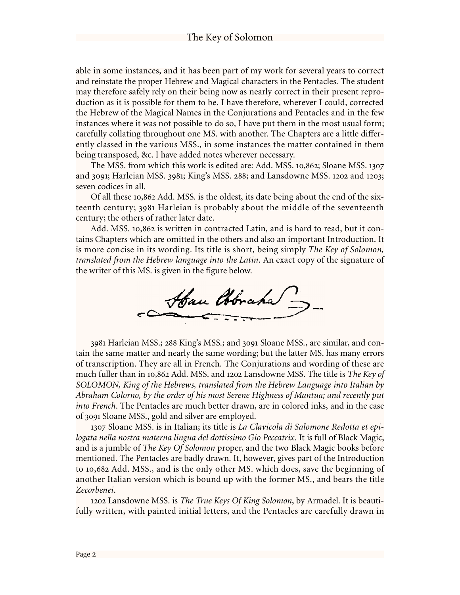able in some instances, and it has been part of my work for several years to correct and reinstate the proper Hebrew and Magical characters in the Pentacles. The student may therefore safely rely on their being now as nearly correct in their present reproduction as it is possible for them to be. I have therefore, wherever I could, corrected the Hebrew of the Magical Names in the Conjurations and Pentacles and in the few instances where it was not possible to do so, I have put them in the most usual form; carefully collating throughout one MS. with another. The Chapters are a little differently classed in the various MSS., in some instances the matter contained in them being transposed, &c. I have added notes wherever necessary.

The MSS. from which this work is edited are: Add. MSS. 10,862; Sloane MSS. 1307 and 3091; Harleian MSS. 3981; King's MSS. 288; and Lansdowne MSS. 1202 and 1203; seven codices in all.

Of all these 10,862 Add. MSS. is the oldest, its date being about the end of the sixteenth century; 3981 Harleian is probably about the middle of the seventeenth century; the others of rather later date.

Add. MSS. 10,862 is written in contracted Latin, and is hard to read, but it contains Chapters which are omitted in the others and also an important Introduction. It is more concise in its wording. Its title is short, being simply *The Key of Solomon, translated from the Hebrew language into the Latin*. An exact copy of the signature of the writer of this MS. is given in the figure below.

Hau Abraha ~

3981 Harleian MSS.; 288 King's MSS.; and 3091 Sloane MSS., are similar, and contain the same matter and nearly the same wording; but the latter MS. has many errors of transcription. They are all in French. The Conjurations and wording of these are much fuller than in 10,862 Add. MSS. and 1202 Lansdowne MSS. The title is *The Key of SOLOMON, King of the Hebrews, translated from the Hebrew Language into Italian by Abraham Colorno, by the order of his most Serene Highness of Mantua; and recently put into French*. The Pentacles are much better drawn, are in colored inks, and in the case of 3091 Sloane MSS., gold and silver are employed.

1307 Sloane MSS. is in Italian; its title is *La Clavicola di Salomone Redotta et epilogata nella nostra materna lingua del dottissimo Gio Peccatrix*. It is full of Black Magic, and is a jumble of *The Key Of Solomon* proper, and the two Black Magic books before mentioned. The Pentacles are badly drawn. It, however, gives part of the Introduction to 10,682 Add. MSS., and is the only other MS. which does, save the beginning of another Italian version which is bound up with the former MS., and bears the title *Zecorbenei*.

1202 Lansdowne MSS. is *The True Keys Of King Solomon*, by Armadel. It is beautifully written, with painted initial letters, and the Pentacles are carefully drawn in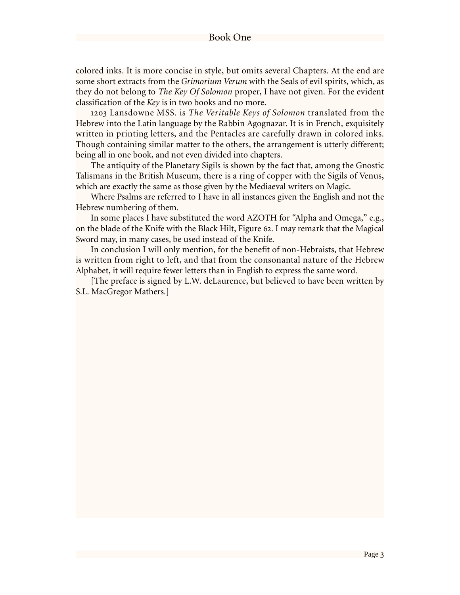colored inks. It is more concise in style, but omits several Chapters. At the end are some short extracts from the *Grimorium Verum* with the Seals of evil spirits, which, as they do not belong to *The Key Of Solomon* proper, I have not given. For the evident classification of the *Key* is in two books and no more.

1203 Lansdowne MSS. is *The Veritable Keys of Solomon* translated from the Hebrew into the Latin language by the Rabbin Agognazar. It is in French, exquisitely written in printing letters, and the Pentacles are carefully drawn in colored inks. Though containing similar matter to the others, the arrangement is utterly different; being all in one book, and not even divided into chapters.

The antiquity of the Planetary Sigils is shown by the fact that, among the Gnostic Talismans in the British Museum, there is a ring of copper with the Sigils of Venus, which are exactly the same as those given by the Mediaeval writers on Magic.

Where Psalms are referred to I have in all instances given the English and not the Hebrew numbering of them.

In some places I have substituted the word AZOTH for "Alpha and Omega," e.g., on the blade of the Knife with the Black Hilt, Figure 62. I may remark that the Magical Sword may, in many cases, be used instead of the Knife.

In conclusion I will only mention, for the benefit of non-Hebraists, that Hebrew is written from right to left, and that from the consonantal nature of the Hebrew Alphabet, it will require fewer letters than in English to express the same word.

[The preface is signed by L.W. deLaurence, but believed to have been written by S.L. MacGregor Mathers.]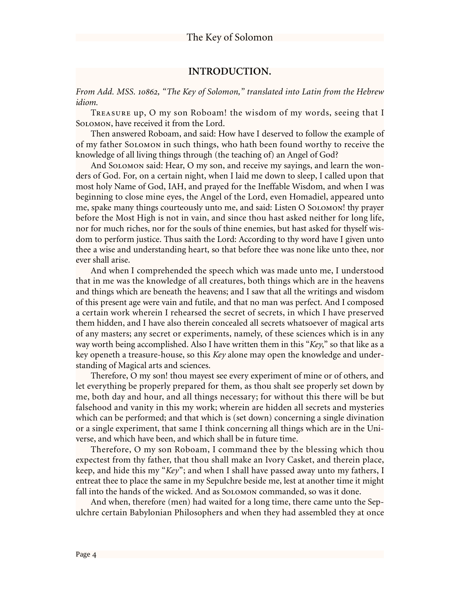### **INTRODUCTION.**

*From Add. MSS. 10862, "The Key of Solomon," translated into Latin from the Hebrew idiom.*

Treasure up, O my son Roboam! the wisdom of my words, seeing that I SOLOMON, have received it from the Lord.

Then answered Roboam, and said: How have I deserved to follow the example of of my father Solomon in such things, who hath been found worthy to receive the knowledge of all living things through (the teaching of) an Angel of God?

And Solomon said: Hear, O my son, and receive my sayings, and learn the wonders of God. For, on a certain night, when I laid me down to sleep, I called upon that most holy Name of God, IAH, and prayed for the Ineffable Wisdom, and when I was beginning to close mine eyes, the Angel of the Lord, even Homadiel, appeared unto me, spake many things courteously unto me, and said: Listen O Solomon! thy prayer before the Most High is not in vain, and since thou hast asked neither for long life, nor for much riches, nor for the souls of thine enemies, but hast asked for thyself wisdom to perform justice. Thus saith the Lord: According to thy word have I given unto thee a wise and understanding heart, so that before thee was none like unto thee, nor ever shall arise.

And when I comprehended the speech which was made unto me, I understood that in me was the knowledge of all creatures, both things which are in the heavens and things which are beneath the heavens; and I saw that all the writings and wisdom of this present age were vain and futile, and that no man was perfect. And I composed a certain work wherein I rehearsed the secret of secrets, in which I have preserved them hidden, and I have also therein concealed all secrets whatsoever of magical arts of any masters; any secret or experiments, namely, of these sciences which is in any way worth being accomplished. Also I have written them in this "*Key*," so that like as a key openeth a treasure-house, so this *Key* alone may open the knowledge and understanding of Magical arts and sciences.

Therefore, O my son! thou mayest see every experiment of mine or of others, and let everything be properly prepared for them, as thou shalt see properly set down by me, both day and hour, and all things necessary; for without this there will be but falsehood and vanity in this my work; wherein are hidden all secrets and mysteries which can be performed; and that which is (set down) concerning a single divination or a single experiment, that same I think concerning all things which are in the Universe, and which have been, and which shall be in future time.

Therefore, O my son Roboam, I command thee by the blessing which thou expectest from thy father, that thou shall make an Ivory Casket, and therein place, keep, and hide this my "*Key*"; and when I shall have passed away unto my fathers, I entreat thee to place the same in my Sepulchre beside me, lest at another time it might fall into the hands of the wicked. And as Solomon commanded, so was it done.

And when, therefore (men) had waited for a long time, there came unto the Sepulchre certain Babylonian Philosophers and when they had assembled they at once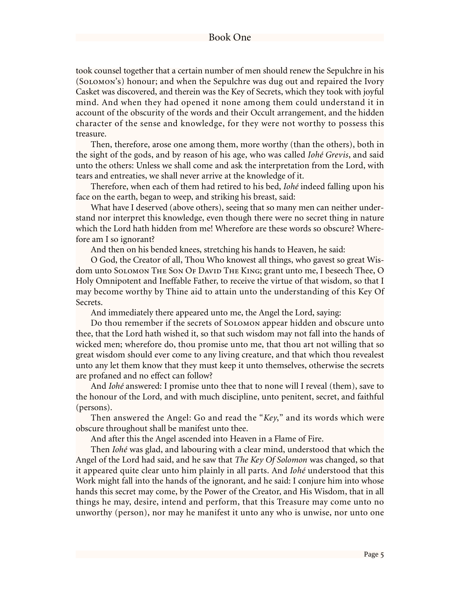took counsel together that a certain number of men should renew the Sepulchre in his (Solomon's) honour; and when the Sepulchre was dug out and repaired the Ivory Casket was discovered, and therein was the Key of Secrets, which they took with joyful mind. And when they had opened it none among them could understand it in account of the obscurity of the words and their Occult arrangement, and the hidden character of the sense and knowledge, for they were not worthy to possess this treasure.

Then, therefore, arose one among them, more worthy (than the others), both in the sight of the gods, and by reason of his age, who was called *Iohé Grevis*, and said unto the others: Unless we shall come and ask the interpretation from the Lord, with tears and entreaties, we shall never arrive at the knowledge of it.

Therefore, when each of them had retired to his bed, *Iohé* indeed falling upon his face on the earth, began to weep, and striking his breast, said:

What have I deserved (above others), seeing that so many men can neither understand nor interpret this knowledge, even though there were no secret thing in nature which the Lord hath hidden from me! Wherefore are these words so obscure? Wherefore am I so ignorant?

And then on his bended knees, stretching his hands to Heaven, he said:

O God, the Creator of all, Thou Who knowest all things, who gavest so great Wisdom unto SOLOMON THE SON OF DAVID THE KING; grant unto me, I beseech Thee, O Holy Omnipotent and Ineffable Father, to receive the virtue of that wisdom, so that I may become worthy by Thine aid to attain unto the understanding of this Key Of Secrets.

And immediately there appeared unto me, the Angel the Lord, saying:

Do thou remember if the secrets of Solomon appear hidden and obscure unto thee, that the Lord hath wished it, so that such wisdom may not fall into the hands of wicked men; wherefore do, thou promise unto me, that thou art not willing that so great wisdom should ever come to any living creature, and that which thou revealest unto any let them know that they must keep it unto themselves, otherwise the secrets are profaned and no effect can follow?

And *Iohé* answered: I promise unto thee that to none will I reveal (them), save to the honour of the Lord, and with much discipline, unto penitent, secret, and faithful (persons).

Then answered the Angel: Go and read the "*Key*," and its words which were obscure throughout shall be manifest unto thee.

And after this the Angel ascended into Heaven in a Flame of Fire.

Then *Iohé* was glad, and labouring with a clear mind, understood that which the Angel of the Lord had said, and he saw that *The Key Of Solomon* was changed, so that it appeared quite clear unto him plainly in all parts. And *Iohé* understood that this Work might fall into the hands of the ignorant, and he said: I conjure him into whose hands this secret may come, by the Power of the Creator, and His Wisdom, that in all things he may, desire, intend and perform, that this Treasure may come unto no unworthy (person), nor may he manifest it unto any who is unwise, nor unto one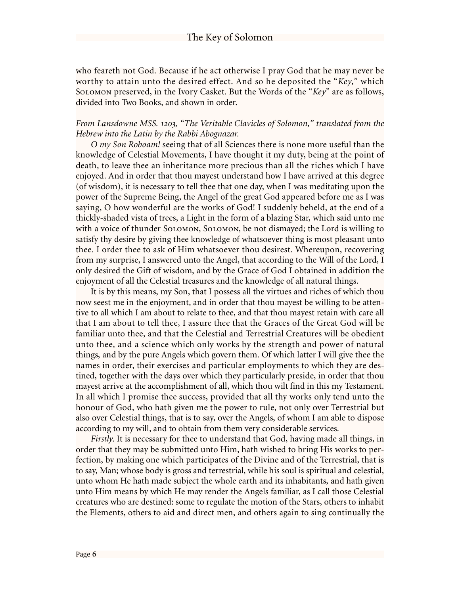who feareth not God. Because if he act otherwise I pray God that he may never be worthy to attain unto the desired effect. And so he deposited the "*Key*," which Solomon preserved, in the Ivory Casket. But the Words of the "*Key*" are as follows, divided into Two Books, and shown in order.

### *From Lansdowne MSS. 1203, "The Veritable Clavicles of Solomon," translated from the Hebrew into the Latin by the Rabbi Abognazar.*

*O my Son Roboam!* seeing that of all Sciences there is none more useful than the knowledge of Celestial Movements, I have thought it my duty, being at the point of death, to leave thee an inheritance more precious than all the riches which I have enjoyed. And in order that thou mayest understand how I have arrived at this degree (of wisdom), it is necessary to tell thee that one day, when I was meditating upon the power of the Supreme Being, the Angel of the great God appeared before me as I was saying, O how wonderful are the works of God! I suddenly beheld, at the end of a thickly-shaded vista of trees, a Light in the form of a blazing Star, which said unto me with a voice of thunder Solomon, Solomon, be not dismayed; the Lord is willing to satisfy thy desire by giving thee knowledge of whatsoever thing is most pleasant unto thee. I order thee to ask of Him whatsoever thou desirest. Whereupon, recovering from my surprise, I answered unto the Angel, that according to the Will of the Lord, I only desired the Gift of wisdom, and by the Grace of God I obtained in addition the enjoyment of all the Celestial treasures and the knowledge of all natural things.

It is by this means, my Son, that I possess all the virtues and riches of which thou now seest me in the enjoyment, and in order that thou mayest be willing to be attentive to all which I am about to relate to thee, and that thou mayest retain with care all that I am about to tell thee, I assure thee that the Graces of the Great God will be familiar unto thee, and that the Celestial and Terrestrial Creatures will be obedient unto thee, and a science which only works by the strength and power of natural things, and by the pure Angels which govern them. Of which latter I will give thee the names in order, their exercises and particular employments to which they are destined, together with the days over which they particularly preside, in order that thou mayest arrive at the accomplishment of all, which thou wilt find in this my Testament. In all which I promise thee success, provided that all thy works only tend unto the honour of God, who hath given me the power to rule, not only over Terrestrial but also over Celestial things, that is to say, over the Angels, of whom I am able to dispose according to my will, and to obtain from them very considerable services.

*Firstly*. It is necessary for thee to understand that God, having made all things, in order that they may be submitted unto Him, hath wished to bring His works to perfection, by making one which participates of the Divine and of the Terrestrial, that is to say, Man; whose body is gross and terrestrial, while his soul is spiritual and celestial, unto whom He hath made subject the whole earth and its inhabitants, and hath given unto Him means by which He may render the Angels familiar, as I call those Celestial creatures who are destined: some to regulate the motion of the Stars, others to inhabit the Elements, others to aid and direct men, and others again to sing continually the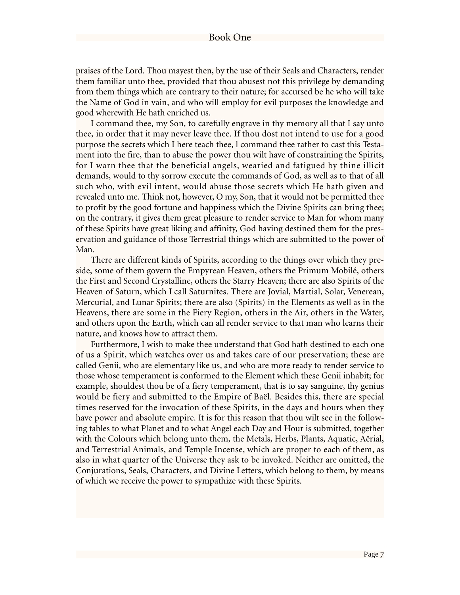praises of the Lord. Thou mayest then, by the use of their Seals and Characters, render them familiar unto thee, provided that thou abusest not this privilege by demanding from them things which are contrary to their nature; for accursed be he who will take the Name of God in vain, and who will employ for evil purposes the knowledge and good wherewith He hath enriched us.

I command thee, my Son, to carefully engrave in thy memory all that I say unto thee, in order that it may never leave thee. If thou dost not intend to use for a good purpose the secrets which I here teach thee, l command thee rather to cast this Testament into the fire, than to abuse the power thou wilt have of constraining the Spirits, for I warn thee that the beneficial angels, wearied and fatigued by thine illicit demands, would to thy sorrow execute the commands of God, as well as to that of all such who, with evil intent, would abuse those secrets which He hath given and revealed unto me. Think not, however, O my, Son, that it would not be permitted thee to profit by the good fortune and happiness which the Divine Spirits can bring thee; on the contrary, it gives them great pleasure to render service to Man for whom many of these Spirits have great liking and affinity, God having destined them for the preservation and guidance of those Terrestrial things which are submitted to the power of Man.

There are different kinds of Spirits, according to the things over which they preside, some of them govern the Empyrean Heaven, others the Primum Mobilé, others the First and Second Crystalline, others the Starry Heaven; there are also Spirits of the Heaven of Saturn, which I call Saturnites. There are Jovial, Martial, Solar, Venerean, Mercurial, and Lunar Spirits; there are also (Spirits) in the Elements as well as in the Heavens, there are some in the Fiery Region, others in the Air, others in the Water, and others upon the Earth, which can all render service to that man who learns their nature, and knows how to attract them.

Furthermore, I wish to make thee understand that God hath destined to each one of us a Spirit, which watches over us and takes care of our preservation; these are called Genii, who are elementary like us, and who are more ready to render service to those whose temperament is conformed to the Element which these Genii inhabit; for example, shouldest thou be of a fiery temperament, that is to say sanguine, thy genius would be fiery and submitted to the Empire of Baël. Besides this, there are special times reserved for the invocation of these Spirits, in the days and hours when they have power and absolute empire. It is for this reason that thou wilt see in the following tables to what Planet and to what Angel each Day and Hour is submitted, together with the Colours which belong unto them, the Metals, Herbs, Plants, Aquatic, Aërial, and Terrestrial Animals, and Temple Incense, which are proper to each of them, as also in what quarter of the Universe they ask to be invoked. Neither are omitted, the Conjurations, Seals, Characters, and Divine Letters, which belong to them, by means of which we receive the power to sympathize with these Spirits.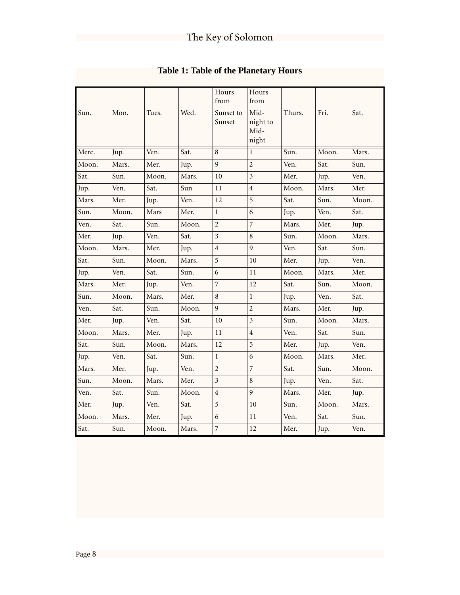|       |       |       |       | Hours<br>from       | Hours<br>from                     |        |       |       |
|-------|-------|-------|-------|---------------------|-----------------------------------|--------|-------|-------|
| Sun.  | Mon.  | Tues. | Wed.  | Sunset to<br>Sunset | Mid-<br>night to<br>Mid-<br>night | Thurs. | Fri.  | Sat.  |
| Merc. | Jup.  | Ven.  | Sat.  | 8                   | 1                                 | Sun.   | Moon. | Mars. |
| Moon. | Mars. | Mer.  | Jup.  | 9                   | $\overline{2}$                    | Ven.   | Sat.  | Sun.  |
| Sat.  | Sun.  | Moon. | Mars. | 10                  | 3                                 | Mer.   | Jup.  | Ven.  |
| Jup.  | Ven.  | Sat.  | Sun   | 11                  | $\overline{\mathbf{4}}$           | Moon.  | Mars. | Mer.  |
| Mars. | Mer.  | Jup.  | Ven.  | 12                  | 5                                 | Sat.   | Sun.  | Moon. |
| Sun.  | Moon. | Mars  | Mer.  | $\mathbf{1}$        | 6                                 | Jup.   | Ven.  | Sat.  |
| Ven.  | Sat.  | Sun.  | Moon. | $\overline{2}$      | $\overline{7}$                    | Mars.  | Mer.  | Jup.  |
| Mer.  | Jup.  | Ven.  | Sat.  | $\mathfrak{Z}$      | 8                                 | Sun.   | Moon. | Mars. |
| Moon. | Mars. | Mer.  | Jup.  | $\overline{4}$      | 9                                 | Ven.   | Sat.  | Sun.  |
| Sat.  | Sun.  | Moon. | Mars. | 5                   | 10                                | Mer.   | Jup.  | Ven.  |
| Jup.  | Ven.  | Sat.  | Sun.  | 6                   | 11                                | Moon.  | Mars. | Mer.  |
| Mars. | Mer.  | Jup.  | Ven.  | $\overline{7}$      | 12                                | Sat.   | Sun.  | Moon. |
| Sun.  | Moon. | Mars. | Mer.  | $\,8\,$             | $\mathbf{1}$                      | Jup.   | Ven.  | Sat.  |
| Ven.  | Sat.  | Sun.  | Moon. | 9                   | $\overline{2}$                    | Mars.  | Mer.  | Jup.  |
| Mer.  | Jup.  | Ven.  | Sat.  | 10                  | 3                                 | Sun.   | Moon. | Mars. |
| Moon. | Mars. | Mer.  | Jup.  | 11                  | $\overline{4}$                    | Ven.   | Sat.  | Sun.  |
| Sat.  | Sun.  | Moon. | Mars. | 12                  | 5                                 | Mer.   | Jup.  | Ven.  |
| Jup.  | Ven.  | Sat.  | Sun.  | $\mathbf{1}$        | 6                                 | Moon.  | Mars. | Mer.  |
| Mars. | Mer.  | Jup.  | Ven.  | $\overline{2}$      | $\overline{7}$                    | Sat.   | Sun.  | Moon. |
| Sun.  | Moon. | Mars. | Mer.  | $\mathfrak{Z}$      | 8                                 | Jup.   | Ven.  | Sat.  |
| Ven.  | Sat.  | Sun.  | Moon. | $\overline{4}$      | 9                                 | Mars.  | Mer.  | Jup.  |
| Mer.  | Jup.  | Ven.  | Sat.  | 5                   | 10                                | Sun.   | Moon. | Mars. |
| Moon. | Mars. | Mer.  | Jup.  | 6                   | 11                                | Ven.   | Sat.  | Sun.  |
| Sat.  | Sun.  | Moon. | Mars. | 7                   | 12                                | Mer.   | Jup.  | Ven.  |

# **Table 1: Table of the Planetary Hours**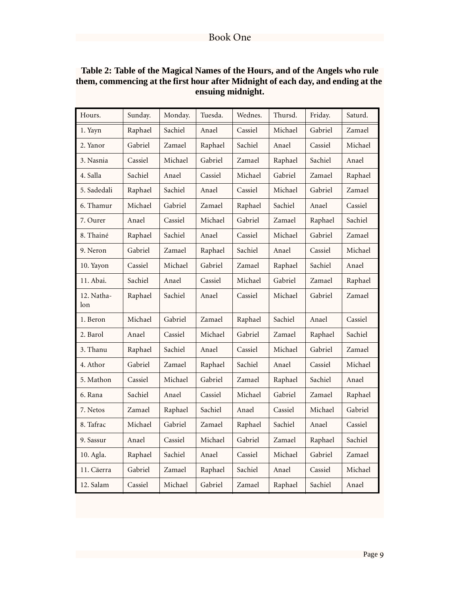| Hours.            | Sunday. | Monday. | Tuesda. | Wednes. | Thursd. | Friday. | Saturd. |
|-------------------|---------|---------|---------|---------|---------|---------|---------|
| 1. Yayn           | Raphael | Sachiel | Anael   | Cassiel | Michael | Gabriel | Zamael  |
| 2. Yanor          | Gabriel | Zamael  | Raphael | Sachiel | Anael   | Cassiel | Michael |
| 3. Nasnia         | Cassiel | Michael | Gabriel | Zamael  | Raphael | Sachiel | Anael   |
| 4. Salla          | Sachiel | Anael   | Cassiel | Michael | Gabriel | Zamael  | Raphael |
| 5. Sadedali       | Raphael | Sachiel | Anael   | Cassiel | Michael | Gabriel | Zamael  |
| 6. Thamur         | Michael | Gabriel | Zamael  | Raphael | Sachiel | Anael   | Cassiel |
| 7. Ourer          | Anael   | Cassiel | Michael | Gabriel | Zamael  | Raphael | Sachiel |
| 8. Thainé         | Raphael | Sachiel | Anael   | Cassiel | Michael | Gabriel | Zamael  |
| 9. Neron          | Gabriel | Zamael  | Raphael | Sachiel | Anael   | Cassiel | Michael |
| 10. Yayon         | Cassiel | Michael | Gabriel | Zamael  | Raphael | Sachiel | Anael   |
| 11. Abai.         | Sachiel | Anael   | Cassiel | Michael | Gabriel | Zamael  | Raphael |
| 12. Natha-<br>lon | Raphael | Sachiel | Anael   | Cassiel | Michael | Gabriel | Zamael  |
| 1. Beron          | Michael | Gabriel | Zamael  | Raphael | Sachiel | Anael   | Cassiel |
| 2. Barol          | Anael   | Cassiel | Michael | Gabriel | Zamael  | Raphael | Sachiel |
| 3. Thanu          | Raphael | Sachiel | Anael   | Cassiel | Michael | Gabriel | Zamael  |
| 4. Athor          | Gabriel | Zamael  | Raphael | Sachiel | Anael   | Cassiel | Michael |
| 5. Mathon         | Cassiel | Michael | Gabriel | Zamael  | Raphael | Sachiel | Anael   |
| 6. Rana           | Sachiel | Anael   | Cassiel | Michael | Gabriel | Zamael  | Raphael |
| 7. Netos          | Zamael  | Raphael | Sachiel | Anael   | Cassiel | Michael | Gabriel |
| 8. Tafrac         | Michael | Gabriel | Zamael  | Raphael | Sachiel | Anael   | Cassiel |
| 9. Sassur         | Anael   | Cassiel | Michael | Gabriel | Zamael  | Raphael | Sachiel |
| 10. Agla.         | Raphael | Sachiel | Anael   | Cassiel | Michael | Gabriel | Zamael  |
| 11. Cäerra        | Gabriel | Zamael  | Raphael | Sachiel | Anael   | Cassiel | Michael |
| 12. Salam         | Cassiel | Michael | Gabriel | Zamael  | Raphael | Sachiel | Anael   |

### **Table 2: Table of the Magical Names of the Hours, and of the Angels who rule them, commencing at the first hour after Midnight of each day, and ending at the ensuing midnight.**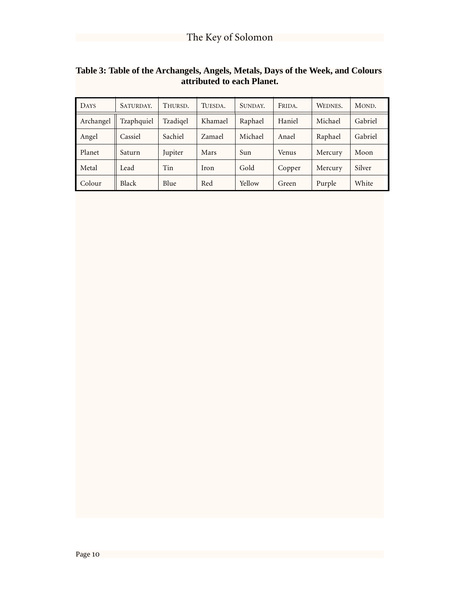| <b>DAYS</b> | SATURDAY.    | THURSD.  | TUESDA. | SUNDAY. | FRIDA. | WEDNES. | MOND.   |
|-------------|--------------|----------|---------|---------|--------|---------|---------|
| Archangel   | Tzaphquiel   | Tzadiqel | Khamael | Raphael | Haniel | Michael | Gabriel |
| Angel       | Cassiel      | Sachiel  | Zamael  | Michael | Anael  | Raphael | Gabriel |
| Planet      | Saturn       | Jupiter  | Mars    | Sun     | Venus  | Mercury | Moon    |
| Metal       | Lead         | Tin      | Iron    | Gold    | Copper | Mercury | Silver  |
| Colour      | <b>Black</b> | Blue     | Red     | Yellow  | Green  | Purple  | White   |

### **Table 3: Table of the Archangels, Angels, Metals, Days of the Week, and Colours attributed to each Planet.**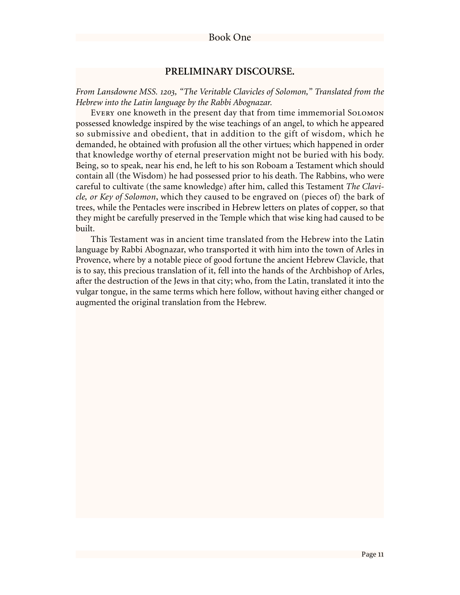#### **PRELIMINARY DISCOURSE.**

*From Lansdowne MSS. 1203, "The Veritable Clavicles of Solomon," Translated from the Hebrew into the Latin language by the Rabbi Abognazar.*

Every one knoweth in the present day that from time immemorial Solomon possessed knowledge inspired by the wise teachings of an angel, to which he appeared so submissive and obedient, that in addition to the gift of wisdom, which he demanded, he obtained with profusion all the other virtues; which happened in order that knowledge worthy of eternal preservation might not be buried with his body. Being, so to speak, near his end, he left to his son Roboam a Testament which should contain all (the Wisdom) he had possessed prior to his death. The Rabbins, who were careful to cultivate (the same knowledge) after him, called this Testament *The Clavicle, or Key of Solomon*, which they caused to be engraved on (pieces of) the bark of trees, while the Pentacles were inscribed in Hebrew letters on plates of copper, so that they might be carefully preserved in the Temple which that wise king had caused to be built.

This Testament was in ancient time translated from the Hebrew into the Latin language by Rabbi Abognazar, who transported it with him into the town of Arles in Provence, where by a notable piece of good fortune the ancient Hebrew Clavicle, that is to say, this precious translation of it, fell into the hands of the Archbishop of Arles, after the destruction of the Jews in that city; who, from the Latin, translated it into the vulgar tongue, in the same terms which here follow, without having either changed or augmented the original translation from the Hebrew.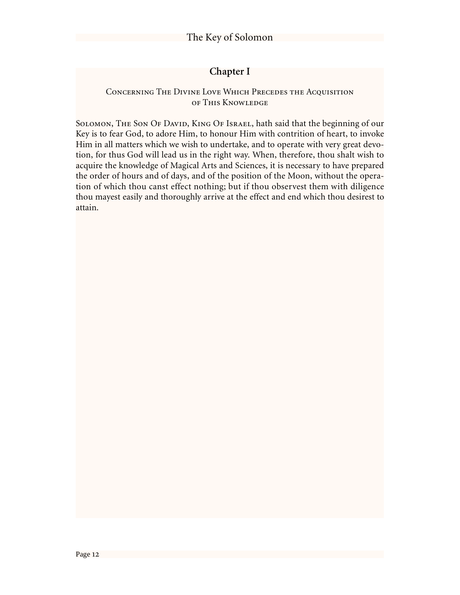# **Chapter I**

### Concerning The Divine Love Which Precedes the Acquisition of This Knowledge

SOLOMON, THE SON OF DAVID, KING OF ISRAEL, hath said that the beginning of our Key is to fear God, to adore Him, to honour Him with contrition of heart, to invoke Him in all matters which we wish to undertake, and to operate with very great devotion, for thus God will lead us in the right way. When, therefore, thou shalt wish to acquire the knowledge of Magical Arts and Sciences, it is necessary to have prepared the order of hours and of days, and of the position of the Moon, without the operation of which thou canst effect nothing; but if thou observest them with diligence thou mayest easily and thoroughly arrive at the effect and end which thou desirest to attain.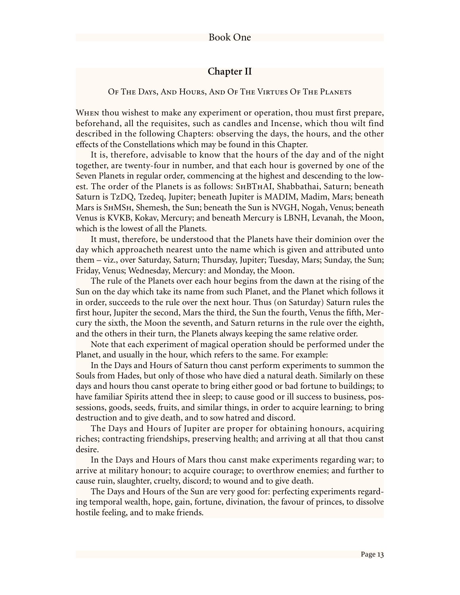### **Chapter II**

#### Of The Days, And Hours, And Of The Virtues Of The Planets

When thou wishest to make any experiment or operation, thou must first prepare, beforehand, all the requisites, such as candles and Incense, which thou wilt find described in the following Chapters: observing the days, the hours, and the other effects of the Constellations which may be found in this Chapter.

It is, therefore, advisable to know that the hours of the day and of the night together, are twenty-four in number, and that each hour is governed by one of the Seven Planets in regular order, commencing at the highest and descending to the lowest. The order of the Planets is as follows: SHBTHAI, Shabbathai, Saturn; beneath Saturn is TzDQ, Tzedeq, Jupiter; beneath Jupiter is MADIM, Madim, Mars; beneath Mars is ShMSh, Shemesh, the Sun; beneath the Sun is NVGH, Nogah, Venus; beneath Venus is KVKB, Kokav, Mercury; and beneath Mercury is LBNH, Levanah, the Moon, which is the lowest of all the Planets.

It must, therefore, be understood that the Planets have their dominion over the day which approacheth nearest unto the name which is given and attributed unto them – viz., over Saturday, Saturn; Thursday, Jupiter; Tuesday, Mars; Sunday, the Sun; Friday, Venus; Wednesday, Mercury: and Monday, the Moon.

The rule of the Planets over each hour begins from the dawn at the rising of the Sun on the day which take its name from such Planet, and the Planet which follows it in order, succeeds to the rule over the next hour. Thus (on Saturday) Saturn rules the first hour, Jupiter the second, Mars the third, the Sun the fourth, Venus the fifth, Mercury the sixth, the Moon the seventh, and Saturn returns in the rule over the eighth, and the others in their turn, the Planets always keeping the same relative order.

Note that each experiment of magical operation should be performed under the Planet, and usually in the hour, which refers to the same. For example:

In the Days and Hours of Saturn thou canst perform experiments to summon the Souls from Hades, but only of those who have died a natural death. Similarly on these days and hours thou canst operate to bring either good or bad fortune to buildings; to have familiar Spirits attend thee in sleep; to cause good or ill success to business, possessions, goods, seeds, fruits, and similar things, in order to acquire learning; to bring destruction and to give death, and to sow hatred and discord.

The Days and Hours of Jupiter are proper for obtaining honours, acquiring riches; contracting friendships, preserving health; and arriving at all that thou canst desire.

In the Days and Hours of Mars thou canst make experiments regarding war; to arrive at military honour; to acquire courage; to overthrow enemies; and further to cause ruin, slaughter, cruelty, discord; to wound and to give death.

The Days and Hours of the Sun are very good for: perfecting experiments regarding temporal wealth, hope, gain, fortune, divination, the favour of princes, to dissolve hostile feeling, and to make friends.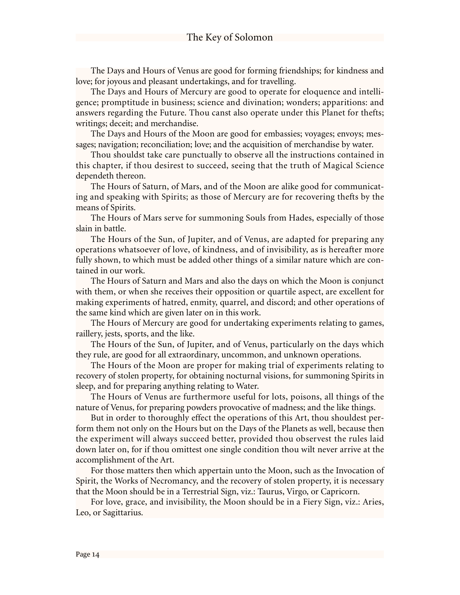The Days and Hours of Venus are good for forming friendships; for kindness and love; for joyous and pleasant undertakings, and for travelling.

The Days and Hours of Mercury are good to operate for eloquence and intelligence; promptitude in business; science and divination; wonders; apparitions: and answers regarding the Future. Thou canst also operate under this Planet for thefts; writings; deceit; and merchandise.

The Days and Hours of the Moon are good for embassies; voyages; envoys; messages; navigation; reconciliation; love; and the acquisition of merchandise by water.

Thou shouldst take care punctually to observe all the instructions contained in this chapter, if thou desirest to succeed, seeing that the truth of Magical Science dependeth thereon.

The Hours of Saturn, of Mars, and of the Moon are alike good for communicating and speaking with Spirits; as those of Mercury are for recovering thefts by the means of Spirits.

The Hours of Mars serve for summoning Souls from Hades, especially of those slain in battle.

The Hours of the Sun, of Jupiter, and of Venus, are adapted for preparing any operations whatsoever of love, of kindness, and of invisibility, as is hereafter more fully shown, to which must be added other things of a similar nature which are contained in our work.

The Hours of Saturn and Mars and also the days on which the Moon is conjunct with them, or when she receives their opposition or quartile aspect, are excellent for making experiments of hatred, enmity, quarrel, and discord; and other operations of the same kind which are given later on in this work.

The Hours of Mercury are good for undertaking experiments relating to games, raillery, jests, sports, and the like.

The Hours of the Sun, of Jupiter, and of Venus, particularly on the days which they rule, are good for all extraordinary, uncommon, and unknown operations.

The Hours of the Moon are proper for making trial of experiments relating to recovery of stolen property, for obtaining nocturnal visions, for summoning Spirits in sleep, and for preparing anything relating to Water.

The Hours of Venus are furthermore useful for lots, poisons, all things of the nature of Venus, for preparing powders provocative of madness; and the like things.

But in order to thoroughly effect the operations of this Art, thou shouldest perform them not only on the Hours but on the Days of the Planets as well, because then the experiment will always succeed better, provided thou observest the rules laid down later on, for if thou omittest one single condition thou wilt never arrive at the accomplishment of the Art.

For those matters then which appertain unto the Moon, such as the Invocation of Spirit, the Works of Necromancy, and the recovery of stolen property, it is necessary that the Moon should be in a Terrestrial Sign, viz.: Taurus, Virgo, or Capricorn.

For love, grace, and invisibility, the Moon should be in a Fiery Sign, viz.: Aries, Leo, or Sagittarius.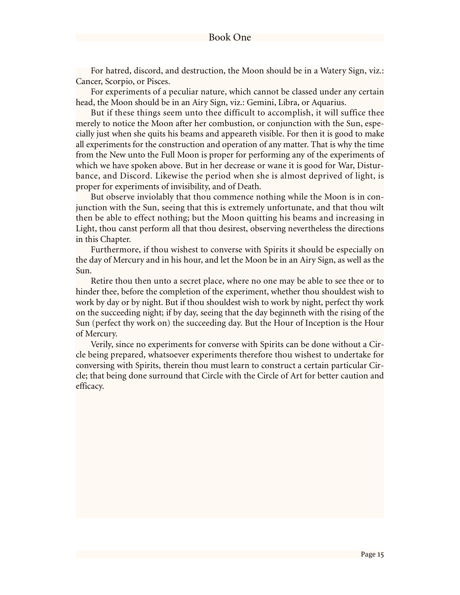For hatred, discord, and destruction, the Moon should be in a Watery Sign, viz.: Cancer, Scorpio, or Pisces.

For experiments of a peculiar nature, which cannot be classed under any certain head, the Moon should be in an Airy Sign, viz.: Gemini, Libra, or Aquarius.

But if these things seem unto thee difficult to accomplish, it will suffice thee merely to notice the Moon after her combustion, or conjunction with the Sun, especially just when she quits his beams and appeareth visible. For then it is good to make all experiments for the construction and operation of any matter. That is why the time from the New unto the Full Moon is proper for performing any of the experiments of which we have spoken above. But in her decrease or wane it is good for War, Disturbance, and Discord. Likewise the period when she is almost deprived of light, is proper for experiments of invisibility, and of Death.

But observe inviolably that thou commence nothing while the Moon is in conjunction with the Sun, seeing that this is extremely unfortunate, and that thou wilt then be able to effect nothing; but the Moon quitting his beams and increasing in Light, thou canst perform all that thou desirest, observing nevertheless the directions in this Chapter.

Furthermore, if thou wishest to converse with Spirits it should be especially on the day of Mercury and in his hour, and let the Moon be in an Airy Sign, as well as the Sun.

Retire thou then unto a secret place, where no one may be able to see thee or to hinder thee, before the completion of the experiment, whether thou shouldest wish to work by day or by night. But if thou shouldest wish to work by night, perfect thy work on the succeeding night; if by day, seeing that the day beginneth with the rising of the Sun (perfect thy work on) the succeeding day. But the Hour of Inception is the Hour of Mercury.

Verily, since no experiments for converse with Spirits can be done without a Circle being prepared, whatsoever experiments therefore thou wishest to undertake for conversing with Spirits, therein thou must learn to construct a certain particular Circle; that being done surround that Circle with the Circle of Art for better caution and efficacy.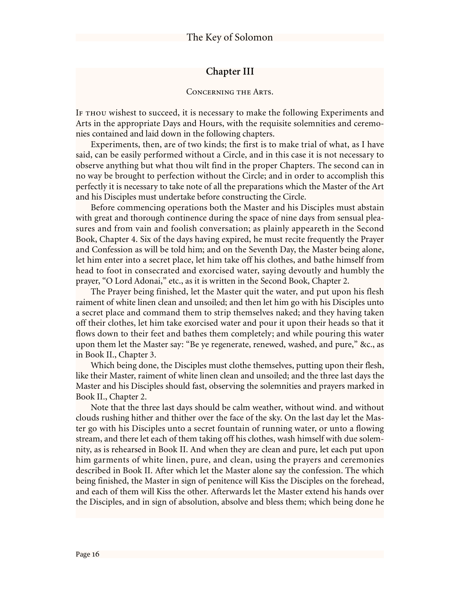# **Chapter III**

#### CONCERNING THE ARTS.

If thou wishest to succeed, it is necessary to make the following Experiments and Arts in the appropriate Days and Hours, with the requisite solemnities and ceremonies contained and laid down in the following chapters.

Experiments, then, are of two kinds; the first is to make trial of what, as I have said, can be easily performed without a Circle, and in this case it is not necessary to observe anything but what thou wilt find in the proper Chapters. The second can in no way be brought to perfection without the Circle; and in order to accomplish this perfectly it is necessary to take note of all the preparations which the Master of the Art and his Disciples must undertake before constructing the Circle.

Before commencing operations both the Master and his Disciples must abstain with great and thorough continence during the space of nine days from sensual pleasures and from vain and foolish conversation; as plainly appeareth in the Second Book, Chapter 4. Six of the days having expired, he must recite frequently the Prayer and Confession as will be told him; and on the Seventh Day, the Master being alone, let him enter into a secret place, let him take off his clothes, and bathe himself from head to foot in consecrated and exorcised water, saying devoutly and humbly the prayer, "O Lord Adonai," etc., as it is written in the Second Book, Chapter 2.

The Prayer being finished, let the Master quit the water, and put upon his flesh raiment of white linen clean and unsoiled; and then let him go with his Disciples unto a secret place and command them to strip themselves naked; and they having taken off their clothes, let him take exorcised water and pour it upon their heads so that it flows down to their feet and bathes them completely; and while pouring this water upon them let the Master say: "Be ye regenerate, renewed, washed, and pure," &c., as in Book II., Chapter 3.

Which being done, the Disciples must clothe themselves, putting upon their flesh, like their Master, raiment of white linen clean and unsoiled; and the three last days the Master and his Disciples should fast, observing the solemnities and prayers marked in Book II., Chapter 2.

Note that the three last days should be calm weather, without wind. and without clouds rushing hither and thither over the face of the sky. On the last day let the Master go with his Disciples unto a secret fountain of running water, or unto a flowing stream, and there let each of them taking off his clothes, wash himself with due solemnity, as is rehearsed in Book II. And when they are clean and pure, let each put upon him garments of white linen, pure, and clean, using the prayers and ceremonies described in Book II. After which let the Master alone say the confession. The which being finished, the Master in sign of penitence will Kiss the Disciples on the forehead, and each of them will Kiss the other. Afterwards let the Master extend his hands over the Disciples, and in sign of absolution, absolve and bless them; which being done he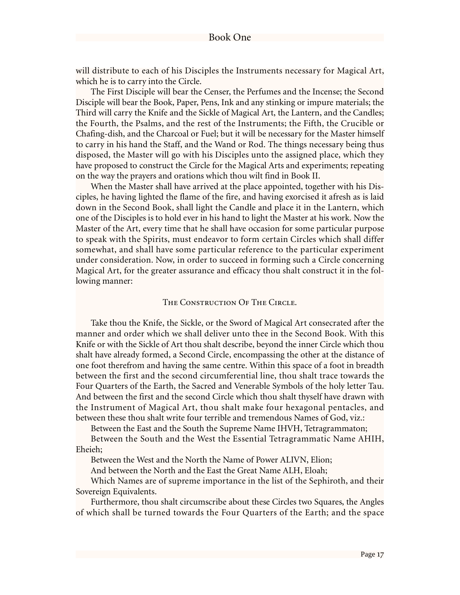will distribute to each of his Disciples the Instruments necessary for Magical Art, which he is to carry into the Circle.

The First Disciple will bear the Censer, the Perfumes and the Incense; the Second Disciple will bear the Book, Paper, Pens, Ink and any stinking or impure materials; the Third will carry the Knife and the Sickle of Magical Art, the Lantern, and the Candles; the Fourth, the Psalms, and the rest of the Instruments; the Fifth, the Crucible or Chafing-dish, and the Charcoal or Fuel; but it will be necessary for the Master himself to carry in his hand the Staff, and the Wand or Rod. The things necessary being thus disposed, the Master will go with his Disciples unto the assigned place, which they have proposed to construct the Circle for the Magical Arts and experiments; repeating on the way the prayers and orations which thou wilt find in Book II.

When the Master shall have arrived at the place appointed, together with his Disciples, he having lighted the flame of the fire, and having exorcised it afresh as is laid down in the Second Book, shall light the Candle and place it in the Lantern, which one of the Disciples is to hold ever in his hand to light the Master at his work. Now the Master of the Art, every time that he shall have occasion for some particular purpose to speak with the Spirits, must endeavor to form certain Circles which shall differ somewhat, and shall have some particular reference to the particular experiment under consideration. Now, in order to succeed in forming such a Circle concerning Magical Art, for the greater assurance and efficacy thou shalt construct it in the following manner:

#### The Construction Of The Circle.

Take thou the Knife, the Sickle, or the Sword of Magical Art consecrated after the manner and order which we shall deliver unto thee in the Second Book. With this Knife or with the Sickle of Art thou shalt describe, beyond the inner Circle which thou shalt have already formed, a Second Circle, encompassing the other at the distance of one foot therefrom and having the same centre. Within this space of a foot in breadth between the first and the second circumferential line, thou shalt trace towards the Four Quarters of the Earth, the Sacred and Venerable Symbols of the holy letter Tau. And between the first and the second Circle which thou shalt thyself have drawn with the Instrument of Magical Art, thou shalt make four hexagonal pentacles, and between these thou shalt write four terrible and tremendous Names of God, viz.:

Between the East and the South the Supreme Name IHVH, Tetragrammaton;

Between the South and the West the Essential Tetragrammatic Name AHIH, Eheieh;

Between the West and the North the Name of Power ALIVN, Elion;

And between the North and the East the Great Name ALH, Eloah;

Which Names are of supreme importance in the list of the Sephiroth, and their Sovereign Equivalents.

Furthermore, thou shalt circumscribe about these Circles two Squares, the Angles of which shall be turned towards the Four Quarters of the Earth; and the space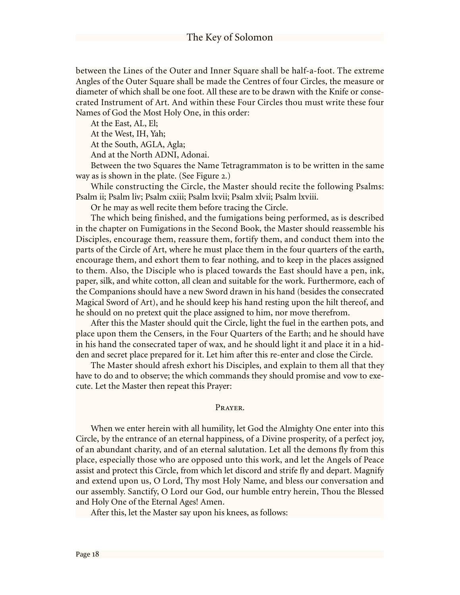between the Lines of the Outer and Inner Square shall be half-a-foot. The extreme Angles of the Outer Square shall be made the Centres of four Circles, the measure or diameter of which shall be one foot. All these are to be drawn with the Knife or consecrated Instrument of Art. And within these Four Circles thou must write these four Names of God the Most Holy One, in this order:

At the East, AL, El;

At the West, IH, Yah;

At the South, AGLA, Agla;

And at the North ADNI, Adonai.

Between the two Squares the Name Tetragrammaton is to be written in the same way as is shown in the plate. (See Figure 2.)

While constructing the Circle, the Master should recite the following Psalms: Psalm ii; Psalm liv; Psalm cxiii; Psalm lxvii; Psalm xlvii; Psalm lxviii.

Or he may as well recite them before tracing the Circle.

The which being finished, and the fumigations being performed, as is described in the chapter on Fumigations in the Second Book, the Master should reassemble his Disciples, encourage them, reassure them, fortify them, and conduct them into the parts of the Circle of Art, where he must place them in the four quarters of the earth, encourage them, and exhort them to fear nothing, and to keep in the places assigned to them. Also, the Disciple who is placed towards the East should have a pen, ink, paper, silk, and white cotton, all clean and suitable for the work. Furthermore, each of the Companions should have a new Sword drawn in his hand (besides the consecrated Magical Sword of Art), and he should keep his hand resting upon the hilt thereof, and he should on no pretext quit the place assigned to him, nor move therefrom.

After this the Master should quit the Circle, light the fuel in the earthen pots, and place upon them the Censers, in the Four Quarters of the Earth; and he should have in his hand the consecrated taper of wax, and he should light it and place it in a hidden and secret place prepared for it. Let him after this re-enter and close the Circle.

The Master should afresh exhort his Disciples, and explain to them all that they have to do and to observe; the which commands they should promise and vow to execute. Let the Master then repeat this Prayer:

#### Prayer.

When we enter herein with all humility, let God the Almighty One enter into this Circle, by the entrance of an eternal happiness, of a Divine prosperity, of a perfect joy, of an abundant charity, and of an eternal salutation. Let all the demons fly from this place, especially those who are opposed unto this work, and let the Angels of Peace assist and protect this Circle, from which let discord and strife fly and depart. Magnify and extend upon us, O Lord, Thy most Holy Name, and bless our conversation and our assembly. Sanctify, O Lord our God, our humble entry herein, Thou the Blessed and Holy One of the Eternal Ages! Amen.

After this, let the Master say upon his knees, as follows: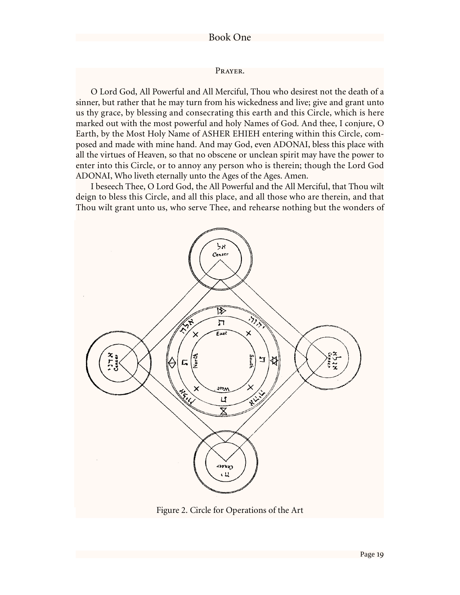#### Prayer.

O Lord God, All Powerful and All Merciful, Thou who desirest not the death of a sinner, but rather that he may turn from his wickedness and live; give and grant unto us thy grace, by blessing and consecrating this earth and this Circle, which is here marked out with the most powerful and holy Names of God. And thee, I conjure, O Earth, by the Most Holy Name of ASHER EHIEH entering within this Circle, composed and made with mine hand. And may God, even ADONAI, bless this place with all the virtues of Heaven, so that no obscene or unclean spirit may have the power to enter into this Circle, or to annoy any person who is therein; though the Lord God ADONAI, Who liveth eternally unto the Ages of the Ages. Amen.

I beseech Thee, O Lord God, the All Powerful and the All Merciful, that Thou wilt deign to bless this Circle, and all this place, and all those who are therein, and that Thou wilt grant unto us, who serve Thee, and rehearse nothing but the wonders of



Figure 2. Circle for Operations of the Art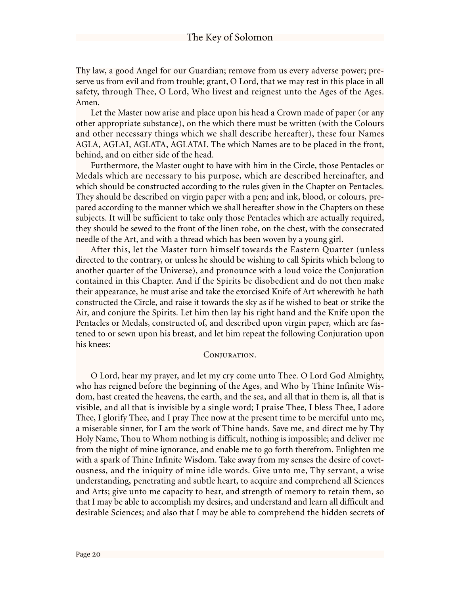Thy law, a good Angel for our Guardian; remove from us every adverse power; preserve us from evil and from trouble; grant, O Lord, that we may rest in this place in all safety, through Thee, O Lord, Who livest and reignest unto the Ages of the Ages. Amen.

Let the Master now arise and place upon his head a Crown made of paper (or any other appropriate substance), on the which there must be written (with the Colours and other necessary things which we shall describe hereafter), these four Names AGLA, AGLAI, AGLATA, AGLATAI. The which Names are to be placed in the front, behind, and on either side of the head.

Furthermore, the Master ought to have with him in the Circle, those Pentacles or Medals which are necessary to his purpose, which are described hereinafter, and which should be constructed according to the rules given in the Chapter on Pentacles. They should be described on virgin paper with a pen; and ink, blood, or colours, prepared according to the manner which we shall hereafter show in the Chapters on these subjects. It will be sufficient to take only those Pentacles which are actually required, they should be sewed to the front of the linen robe, on the chest, with the consecrated needle of the Art, and with a thread which has been woven by a young girl.

After this, let the Master turn himself towards the Eastern Quarter (unless directed to the contrary, or unless he should be wishing to call Spirits which belong to another quarter of the Universe), and pronounce with a loud voice the Conjuration contained in this Chapter. And if the Spirits be disobedient and do not then make their appearance, he must arise and take the exorcised Knife of Art wherewith he hath constructed the Circle, and raise it towards the sky as if he wished to beat or strike the Air, and conjure the Spirits. Let him then lay his right hand and the Knife upon the Pentacles or Medals, constructed of, and described upon virgin paper, which are fastened to or sewn upon his breast, and let him repeat the following Conjuration upon his knees:

#### CONJURATION.

O Lord, hear my prayer, and let my cry come unto Thee. O Lord God Almighty, who has reigned before the beginning of the Ages, and Who by Thine Infinite Wisdom, hast created the heavens, the earth, and the sea, and all that in them is, all that is visible, and all that is invisible by a single word; I praise Thee, I bless Thee, I adore Thee, I glorify Thee, and I pray Thee now at the present time to be merciful unto me, a miserable sinner, for I am the work of Thine hands. Save me, and direct me by Thy Holy Name, Thou to Whom nothing is difficult, nothing is impossible; and deliver me from the night of mine ignorance, and enable me to go forth therefrom. Enlighten me with a spark of Thine Infinite Wisdom. Take away from my senses the desire of covetousness, and the iniquity of mine idle words. Give unto me, Thy servant, a wise understanding, penetrating and subtle heart, to acquire and comprehend all Sciences and Arts; give unto me capacity to hear, and strength of memory to retain them, so that I may be able to accomplish my desires, and understand and learn all difficult and desirable Sciences; and also that I may be able to comprehend the hidden secrets of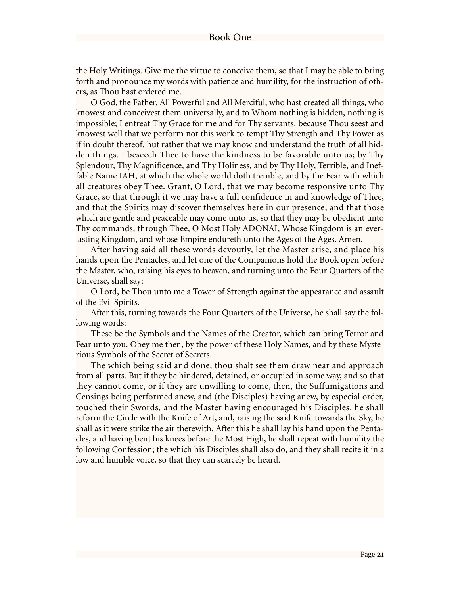the Holy Writings. Give me the virtue to conceive them, so that I may be able to bring forth and pronounce my words with patience and humility, for the instruction of others, as Thou hast ordered me.

O God, the Father, All Powerful and All Merciful, who hast created all things, who knowest and conceivest them universally, and to Whom nothing is hidden, nothing is impossible; I entreat Thy Grace for me and for Thy servants, because Thou seest and knowest well that we perform not this work to tempt Thy Strength and Thy Power as if in doubt thereof, hut rather that we may know and understand the truth of all hidden things. I beseech Thee to have the kindness to be favorable unto us; by Thy Splendour, Thy Magnificence, and Thy Holiness, and by Thy Holy, Terrible, and Ineffable Name IAH, at which the whole world doth tremble, and by the Fear with which all creatures obey Thee. Grant, O Lord, that we may become responsive unto Thy Grace, so that through it we may have a full confidence in and knowledge of Thee, and that the Spirits may discover themselves here in our presence, and that those which are gentle and peaceable may come unto us, so that they may be obedient unto Thy commands, through Thee, O Most Holy ADONAI, Whose Kingdom is an everlasting Kingdom, and whose Empire endureth unto the Ages of the Ages. Amen.

After having said all these words devoutly, let the Master arise, and place his hands upon the Pentacles, and let one of the Companions hold the Book open before the Master, who, raising his eyes to heaven, and turning unto the Four Quarters of the Universe, shall say:

O Lord, be Thou unto me a Tower of Strength against the appearance and assault of the Evil Spirits.

After this, turning towards the Four Quarters of the Universe, he shall say the following words:

These be the Symbols and the Names of the Creator, which can bring Terror and Fear unto you. Obey me then, by the power of these Holy Names, and by these Mysterious Symbols of the Secret of Secrets.

The which being said and done, thou shalt see them draw near and approach from all parts. But if they be hindered, detained, or occupied in some way, and so that they cannot come, or if they are unwilling to come, then, the Suffumigations and Censings being performed anew, and (the Disciples) having anew, by especial order, touched their Swords, and the Master having encouraged his Disciples, he shall reform the Circle with the Knife of Art, and, raising the said Knife towards the Sky, he shall as it were strike the air therewith. After this he shall lay his hand upon the Pentacles, and having bent his knees before the Most High, he shall repeat with humility the following Confession; the which his Disciples shall also do, and they shall recite it in a low and humble voice, so that they can scarcely be heard.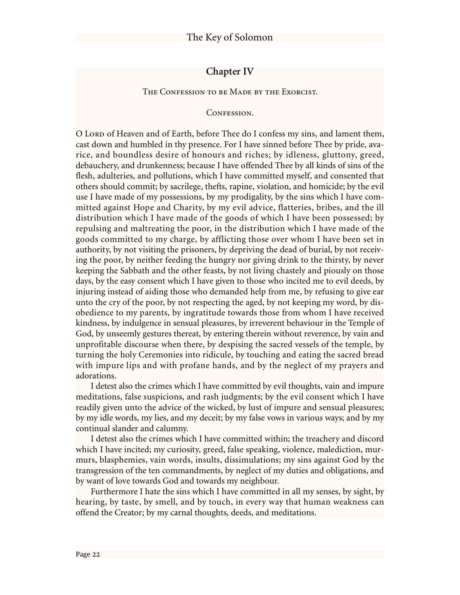### **Chapter IV**

#### The Confession to be Made by the Exorcist.

#### CONFESSION.

O Lord of Heaven and of Earth, before Thee do I confess my sins, and lament them, cast down and humbled in thy presence. For I have sinned before Thee by pride, avarice, and boundless desire of honours and riches; by idleness, gluttony, greed, debauchery, and drunkenness; because I have offended Thee by all kinds of sins of the flesh, adulteries, and pollutions, which I have committed myself, and consented that others should commit; by sacrilege, thefts, rapine, violation, and homicide; by the evil use I have made of my possessions, by my prodigality, by the sins which I have committed against Hope and Charity, by my evil advice, flatteries, bribes, and the ill distribution which I have made of the goods of which I have been possessed; by repulsing and maltreating the poor, in the distribution which I have made of the goods committed to my charge, by afflicting those over whom I have been set in authority, by not visiting the prisoners, by depriving the dead of burial, by not receiving the poor, by neither feeding the hungry nor giving drink to the thirsty, by never keeping the Sabbath and the other feasts, by not living chastely and piously on those days, by the easy consent which I have given to those who incited me to evil deeds, by injuring instead of aiding those who demanded help from me, by refusing to give ear unto the cry of the poor, by not respecting the aged, by not keeping my word, by disobedience to my parents, by ingratitude towards those from whom I have received kindness, by indulgence in sensual pleasures, by irreverent behaviour in the Temple of God, by unseemly gestures thereat, by entering therein without reverence, by vain and unprofitable discourse when there, by despising the sacred vessels of the temple, by turning the holy Ceremonies into ridicule, by touching and eating the sacred bread with impure lips and with profane hands, and by the neglect of my prayers and adorations.

I detest also the crimes which I have committed by evil thoughts, vain and impure meditations, false suspicions, and rash judgments; by the evil consent which I have readily given unto the advice of the wicked, by lust of impure and sensual pleasures; by my idle words, my lies, and my deceit; by my false vows in various ways; and by my continual slander and calumny.

I detest also the crimes which I have committed within; the treachery and discord which I have incited; my curiosity, greed, false speaking, violence, malediction, murmurs, blasphemies, vain words, insults, dissimulations; my sins against God by the transgression of the ten commandments, by neglect of my duties and obligations, and by want of love towards God and towards my neighbour.

Furthermore I hate the sins which I have committed in all my senses, by sight, by hearing, by taste, by smell, and by touch, in every way that human weakness can offend the Creator; by my carnal thoughts, deeds, and meditations.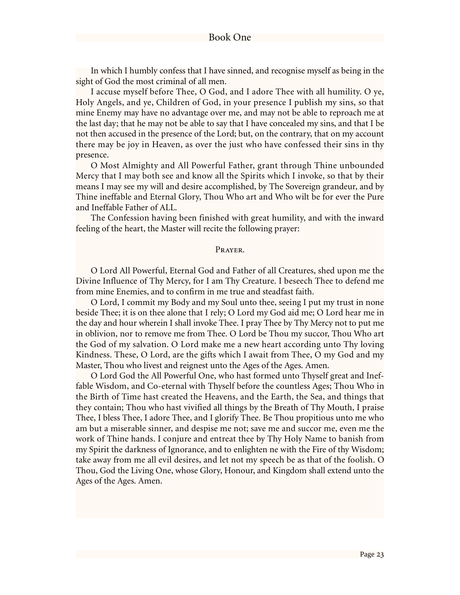In which I humbly confess that I have sinned, and recognise myself as being in the sight of God the most criminal of all men.

I accuse myself before Thee, O God, and I adore Thee with all humility. O ye, Holy Angels, and ye, Children of God, in your presence I publish my sins, so that mine Enemy may have no advantage over me, and may not be able to reproach me at the last day; that he may not be able to say that I have concealed my sins, and that I be not then accused in the presence of the Lord; but, on the contrary, that on my account there may be joy in Heaven, as over the just who have confessed their sins in thy presence.

O Most Almighty and All Powerful Father, grant through Thine unbounded Mercy that I may both see and know all the Spirits which I invoke, so that by their means I may see my will and desire accomplished, by The Sovereign grandeur, and by Thine ineffable and Eternal Glory, Thou Who art and Who wilt be for ever the Pure and Ineffable Father of ALL.

The Confession having been finished with great humility, and with the inward feeling of the heart, the Master will recite the following prayer:

#### Prayer.

O Lord All Powerful, Eternal God and Father of all Creatures, shed upon me the Divine Influence of Thy Mercy, for I am Thy Creature. I beseech Thee to defend me from mine Enemies, and to confirm in me true and steadfast faith.

O Lord, I commit my Body and my Soul unto thee, seeing I put my trust in none beside Thee; it is on thee alone that I rely; O Lord my God aid me; O Lord hear me in the day and hour wherein I shall invoke Thee. I pray Thee by Thy Mercy not to put me in oblivion, nor to remove me from Thee. O Lord be Thou my succor, Thou Who art the God of my salvation. O Lord make me a new heart according unto Thy loving Kindness. These, O Lord, are the gifts which I await from Thee, O my God and my Master, Thou who livest and reignest unto the Ages of the Ages. Amen.

O Lord God the All Powerful One, who hast formed unto Thyself great and Ineffable Wisdom, and Co-eternal with Thyself before the countless Ages; Thou Who in the Birth of Time hast created the Heavens, and the Earth, the Sea, and things that they contain; Thou who hast vivified all things by the Breath of Thy Mouth, I praise Thee, I bless Thee, I adore Thee, and I glorify Thee. Be Thou propitious unto me who am but a miserable sinner, and despise me not; save me and succor me, even me the work of Thine hands. I conjure and entreat thee by Thy Holy Name to banish from my Spirit the darkness of Ignorance, and to enlighten ne with the Fire of thy Wisdom; take away from me all evil desires, and let not my speech be as that of the foolish. O Thou, God the Living One, whose Glory, Honour, and Kingdom shall extend unto the Ages of the Ages. Amen.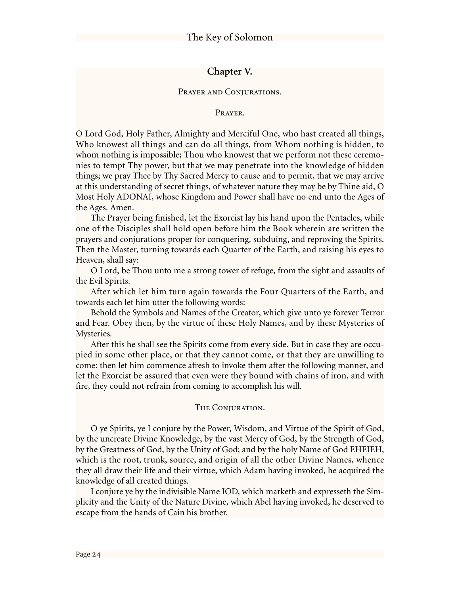# **Chapter V.**

### PRAYER AND CONJURATIONS.

#### Prayer.

O Lord God, Holy Father, Almighty and Merciful One, who hast created all things, Who knowest all things and can do all things, from Whom nothing is hidden, to whom nothing is impossible; Thou who knowest that we perform not these ceremonies to tempt Thy power, but that we may penetrate into the knowledge of hidden things; we pray Thee by Thy Sacred Mercy to cause and to permit, that we may arrive at this understanding of secret things, of whatever nature they may be by Thine aid, O Most Holy ADONAI, whose Kingdom and Power shall have no end unto the Ages of the Ages. Amen.

The Prayer being finished, let the Exorcist lay his hand upon the Pentacles, while one of the Disciples shall hold open before him the Book wherein are written the prayers and conjurations proper for conquering, subduing, and reproving the Spirits. Then the Master, turning towards each Quarter of the Earth, and raising his eyes to Heaven, shall say:

O Lord, be Thou unto me a strong tower of refuge, from the sight and assaults of the Evil Spirits.

After which let him turn again towards the Four Quarters of the Earth, and towards each let him utter the following words:

Behold the Symbols and Names of the Creator, which give unto ye forever Terror and Fear. Obey then, by the virtue of these Holy Names, and by these Mysteries of Mysteries.

After this he shall see the Spirits come from every side. But in case they are occupied in some other place, or that they cannot come, or that they are unwilling to come: then let him commence afresh to invoke them after the following manner, and let the Exorcist be assured that even were they bound with chains of iron, and with fire, they could not refrain from coming to accomplish his will.

#### The Conjuration.

O ye Spirits, ye I conjure by the Power, Wisdom, and Virtue of the Spirit of God, by the uncreate Divine Knowledge, by the vast Mercy of God, by the Strength of God, by the Greatness of God, by the Unity of God; and by the holy Name of God EHEIEH, which is the root, trunk, source, and origin of all the other Divine Names, whence they all draw their life and their virtue, which Adam having invoked, he acquired the knowledge of all created things.

I conjure ye by the indivisible Name IOD, which marketh and expresseth the Simplicity and the Unity of the Nature Divine, which Abel having invoked, he deserved to escape from the hands of Cain his brother.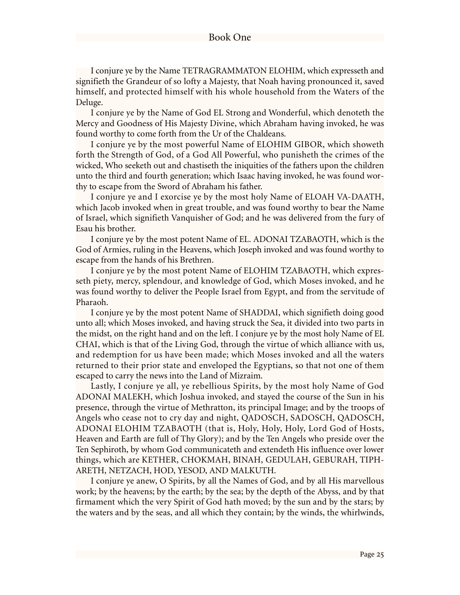I conjure ye by the Name TETRAGRAMMATON ELOHIM, which expresseth and signifieth the Grandeur of so lofty a Majesty, that Noah having pronounced it, saved himself, and protected himself with his whole household from the Waters of the Deluge.

I conjure ye by the Name of God EL Strong and Wonderful, which denoteth the Mercy and Goodness of His Majesty Divine, which Abraham having invoked, he was found worthy to come forth from the Ur of the Chaldeans.

I conjure ye by the most powerful Name of ELOHIM GIBOR, which showeth forth the Strength of God, of a God All Powerful, who punisheth the crimes of the wicked, Who seeketh out and chastiseth the iniquities of the fathers upon the children unto the third and fourth generation; which Isaac having invoked, he was found worthy to escape from the Sword of Abraham his father.

I conjure ye and I exorcise ye by the most holy Name of ELOAH VA-DAATH, which Jacob invoked when in great trouble, and was found worthy to bear the Name of Israel, which signifieth Vanquisher of God; and he was delivered from the fury of Esau his brother.

I conjure ye by the most potent Name of EL. ADONAI TZABAOTH, which is the God of Armies, ruling in the Heavens, which Joseph invoked and was found worthy to escape from the hands of his Brethren.

I conjure ye by the most potent Name of ELOHIM TZABAOTH, which expresseth piety, mercy, splendour, and knowledge of God, which Moses invoked, and he was found worthy to deliver the People Israel from Egypt, and from the servitude of Pharaoh.

I conjure ye by the most potent Name of SHADDAI, which signifieth doing good unto all; which Moses invoked, and having struck the Sea, it divided into two parts in the midst, on the right hand and on the left. I conjure ye by the most holy Name of EL CHAI, which is that of the Living God, through the virtue of which alliance with us, and redemption for us have been made; which Moses invoked and all the waters returned to their prior state and enveloped the Egyptians, so that not one of them escaped to carry the news into the Land of Mizraim.

Lastly, I conjure ye all, ye rebellious Spirits, by the most holy Name of God ADONAI MALEKH, which Joshua invoked, and stayed the course of the Sun in his presence, through the virtue of Methratton, its principal Image; and by the troops of Angels who cease not to cry day and night, QADOSCH, SADOSCH, QADOSCH, ADONAI ELOHIM TZABAOTH (that is, Holy, Holy, Holy, Lord God of Hosts, Heaven and Earth are full of Thy Glory); and by the Ten Angels who preside over the Ten Sephiroth, by whom God communicateth and extendeth His influence over lower things, which are KETHER, CHOKMAH, BINAH, GEDULAH, GEBURAH, TIPH-ARETH, NETZACH, HOD, YESOD, AND MALKUTH.

I conjure ye anew, O Spirits, by all the Names of God, and by all His marvellous work; by the heavens; by the earth; by the sea; by the depth of the Abyss, and by that firmament which the very Spirit of God hath moved; by the sun and by the stars; by the waters and by the seas, and all which they contain; by the winds, the whirlwinds,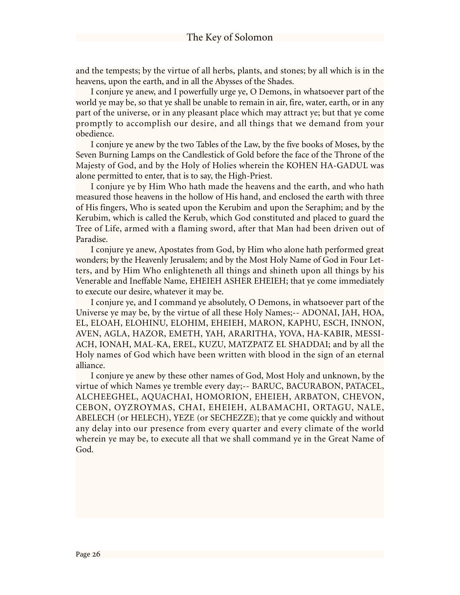and the tempests; by the virtue of all herbs, plants, and stones; by all which is in the heavens, upon the earth, and in all the Abysses of the Shades.

I conjure ye anew, and I powerfully urge ye, O Demons, in whatsoever part of the world ye may be, so that ye shall be unable to remain in air, fire, water, earth, or in any part of the universe, or in any pleasant place which may attract ye; but that ye come promptly to accomplish our desire, and all things that we demand from your obedience.

I conjure ye anew by the two Tables of the Law, by the five books of Moses, by the Seven Burning Lamps on the Candlestick of Gold before the face of the Throne of the Majesty of God, and by the Holy of Holies wherein the KOHEN HA-GADUL was alone permitted to enter, that is to say, the High-Priest.

I conjure ye by Him Who hath made the heavens and the earth, and who hath measured those heavens in the hollow of His hand, and enclosed the earth with three of His fingers, Who is seated upon the Kerubim and upon the Seraphim; and by the Kerubim, which is called the Kerub, which God constituted and placed to guard the Tree of Life, armed with a flaming sword, after that Man had been driven out of Paradise.

I conjure ye anew, Apostates from God, by Him who alone hath performed great wonders; by the Heavenly Jerusalem; and by the Most Holy Name of God in Four Letters, and by Him Who enlighteneth all things and shineth upon all things by his Venerable and Ineffable Name, EHEIEH ASHER EHEIEH; that ye come immediately to execute our desire, whatever it may be.

I conjure ye, and I command ye absolutely, O Demons, in whatsoever part of the Universe ye may be, by the virtue of all these Holy Names;-- ADONAI, JAH, HOA, EL, ELOAH, ELOHINU, ELOHIM, EHEIEH, MARON, KAPHU, ESCH, INNON, AVEN, AGLA, HAZOR, EMETH, YAH, ARARITHA, YOVA, HA-KABIR, MESSI-ACH, IONAH, MAL-KA, EREL, KUZU, MATZPATZ EL SHADDAI; and by all the Holy names of God which have been written with blood in the sign of an eternal alliance.

I conjure ye anew by these other names of God, Most Holy and unknown, by the virtue of which Names ye tremble every day;-- BARUC, BACURABON, PATACEL, ALCHEEGHEL, AQUACHAI, HOMORION, EHEIEH, ARBATON, CHEVON, CEBON, OYZROYMAS, CHAI, EHEIEH, ALBAMACHI, ORTAGU, NALE, ABELECH (or HELECH), YEZE (or SECHEZZE); that ye come quickly and without any delay into our presence from every quarter and every climate of the world wherein ye may be, to execute all that we shall command ye in the Great Name of God.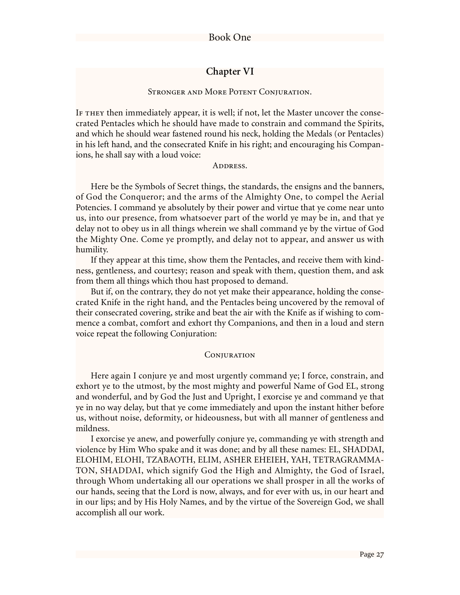### **Chapter VI**

#### STRONGER AND MORE POTENT CONJURATION.

If they then immediately appear, it is well; if not, let the Master uncover the consecrated Pentacles which he should have made to constrain and command the Spirits, and which he should wear fastened round his neck, holding the Medals (or Pentacles) in his left hand, and the consecrated Knife in his right; and encouraging his Companions, he shall say with a loud voice:

#### ADDRESS.

Here be the Symbols of Secret things, the standards, the ensigns and the banners, of God the Conqueror; and the arms of the Almighty One, to compel the Aerial Potencies. I command ye absolutely by their power and virtue that ye come near unto us, into our presence, from whatsoever part of the world ye may be in, and that ye delay not to obey us in all things wherein we shall command ye by the virtue of God the Mighty One. Come ye promptly, and delay not to appear, and answer us with humility.

If they appear at this time, show them the Pentacles, and receive them with kindness, gentleness, and courtesy; reason and speak with them, question them, and ask from them all things which thou hast proposed to demand.

But if, on the contrary, they do not yet make their appearance, holding the consecrated Knife in the right hand, and the Pentacles being uncovered by the removal of their consecrated covering, strike and beat the air with the Knife as if wishing to commence a combat, comfort and exhort thy Companions, and then in a loud and stern voice repeat the following Conjuration:

#### CONJURATION

Here again I conjure ye and most urgently command ye; I force, constrain, and exhort ye to the utmost, by the most mighty and powerful Name of God EL, strong and wonderful, and by God the Just and Upright, I exorcise ye and command ye that ye in no way delay, but that ye come immediately and upon the instant hither before us, without noise, deformity, or hideousness, but with all manner of gentleness and mildness.

I exorcise ye anew, and powerfully conjure ye, commanding ye with strength and violence by Him Who spake and it was done; and by all these names: EL, SHADDAI, ELOHIM, ELOHI, TZABAOTH, ELIM, ASHER EHEIEH, YAH, TETRAGRAMMA-TON, SHADDAI, which signify God the High and Almighty, the God of Israel, through Whom undertaking all our operations we shall prosper in all the works of our hands, seeing that the Lord is now, always, and for ever with us, in our heart and in our lips; and by His Holy Names, and by the virtue of the Sovereign God, we shall accomplish all our work.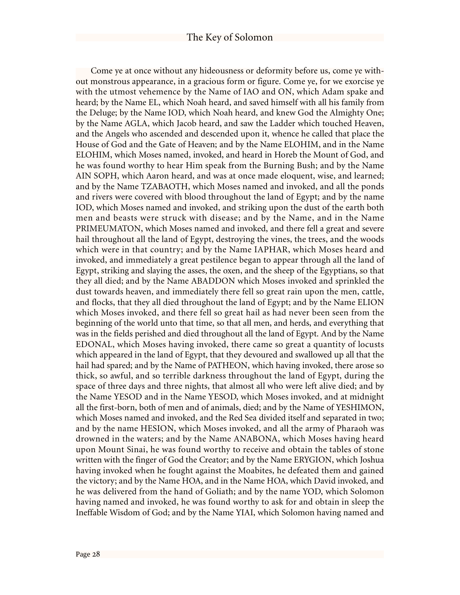Come ye at once without any hideousness or deformity before us, come ye without monstrous appearance, in a gracious form or figure. Come ye, for we exorcise ye with the utmost vehemence by the Name of IAO and ON, which Adam spake and heard; by the Name EL, which Noah heard, and saved himself with all his family from the Deluge; by the Name IOD, which Noah heard, and knew God the Almighty One; by the Name AGLA, which Jacob heard, and saw the Ladder which touched Heaven, and the Angels who ascended and descended upon it, whence he called that place the House of God and the Gate of Heaven; and by the Name ELOHIM, and in the Name ELOHIM, which Moses named, invoked, and heard in Horeb the Mount of God, and he was found worthy to hear Him speak from the Burning Bush; and by the Name AIN SOPH, which Aaron heard, and was at once made eloquent, wise, and learned; and by the Name TZABAOTH, which Moses named and invoked, and all the ponds and rivers were covered with blood throughout the land of Egypt; and by the name IOD, which Moses named and invoked, and striking upon the dust of the earth both men and beasts were struck with disease; and by the Name, and in the Name PRIMEUMATON, which Moses named and invoked, and there fell a great and severe hail throughout all the land of Egypt, destroying the vines, the trees, and the woods which were in that country; and by the Name IAPHAR, which Moses heard and invoked, and immediately a great pestilence began to appear through all the land of Egypt, striking and slaying the asses, the oxen, and the sheep of the Egyptians, so that they all died; and by the Name ABADDON which Moses invoked and sprinkled the dust towards heaven, and immediately there fell so great rain upon the men, cattle, and flocks, that they all died throughout the land of Egypt; and by the Name ELION which Moses invoked, and there fell so great hail as had never been seen from the beginning of the world unto that time, so that all men, and herds, and everything that was in the fields perished and died throughout all the land of Egypt. And by the Name EDONAL, which Moses having invoked, there came so great a quantity of locusts which appeared in the land of Egypt, that they devoured and swallowed up all that the hail had spared; and by the Name of PATHEON, which having invoked, there arose so thick, so awful, and so terrible darkness throughout the land of Egypt, during the space of three days and three nights, that almost all who were left alive died; and by the Name YESOD and in the Name YESOD, which Moses invoked, and at midnight all the first-born, both of men and of animals, died; and by the Name of YESHIMON, which Moses named and invoked, and the Red Sea divided itself and separated in two; and by the name HESION, which Moses invoked, and all the army of Pharaoh was drowned in the waters; and by the Name ANABONA, which Moses having heard upon Mount Sinai, he was found worthy to receive and obtain the tables of stone written with the finger of God the Creator; and by the Name ERYGION, which Joshua having invoked when he fought against the Moabites, he defeated them and gained the victory; and by the Name HOA, and in the Name HOA, which David invoked, and he was delivered from the hand of Goliath; and by the name YOD, which Solomon having named and invoked, he was found worthy to ask for and obtain in sleep the Ineffable Wisdom of God; and by the Name YIAI, which Solomon having named and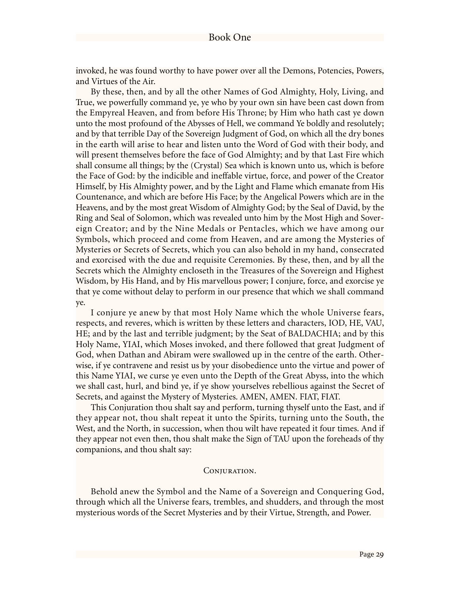invoked, he was found worthy to have power over all the Demons, Potencies, Powers, and Virtues of the Air.

By these, then, and by all the other Names of God Almighty, Holy, Living, and True, we powerfully command ye, ye who by your own sin have been cast down from the Empyreal Heaven, and from before His Throne; by Him who hath cast ye down unto the most profound of the Abysses of Hell, we command Ye boldly and resolutely; and by that terrible Day of the Sovereign Judgment of God, on which all the dry bones in the earth will arise to hear and listen unto the Word of God with their body, and will present themselves before the face of God Almighty; and by that Last Fire which shall consume all things; by the (Crystal) Sea which is known unto us, which is before the Face of God: by the indicible and ineffable virtue, force, and power of the Creator Himself, by His Almighty power, and by the Light and Flame which emanate from His Countenance, and which are before His Face; by the Angelical Powers which are in the Heavens, and by the most great Wisdom of Almighty God; by the Seal of David, by the Ring and Seal of Solomon, which was revealed unto him by the Most High and Sovereign Creator; and by the Nine Medals or Pentacles, which we have among our Symbols, which proceed and come from Heaven, and are among the Mysteries of Mysteries or Secrets of Secrets, which you can also behold in my hand, consecrated and exorcised with the due and requisite Ceremonies. By these, then, and by all the Secrets which the Almighty encloseth in the Treasures of the Sovereign and Highest Wisdom, by His Hand, and by His marvellous power; I conjure, force, and exorcise ye that ye come without delay to perform in our presence that which we shall command ye.

I conjure ye anew by that most Holy Name which the whole Universe fears, respects, and reveres, which is written by these letters and characters, IOD, HE, VAU, HE; and by the last and terrible judgment; by the Seat of BALDACHIA; and by this Holy Name, YIAI, which Moses invoked, and there followed that great Judgment of God, when Dathan and Abiram were swallowed up in the centre of the earth. Otherwise, if ye contravene and resist us by your disobedience unto the virtue and power of this Name YIAI, we curse ye even unto the Depth of the Great Abyss, into the which we shall cast, hurl, and bind ye, if ye show yourselves rebellious against the Secret of Secrets, and against the Mystery of Mysteries. AMEN, AMEN. FIAT, FIAT.

This Conjuration thou shalt say and perform, turning thyself unto the East, and if they appear not, thou shalt repeat it unto the Spirits, turning unto the South, the West, and the North, in succession, when thou wilt have repeated it four times. And if they appear not even then, thou shalt make the Sign of TAU upon the foreheads of thy companions, and thou shalt say:

#### CONJURATION.

Behold anew the Symbol and the Name of a Sovereign and Conquering God, through which all the Universe fears, trembles, and shudders, and through the most mysterious words of the Secret Mysteries and by their Virtue, Strength, and Power.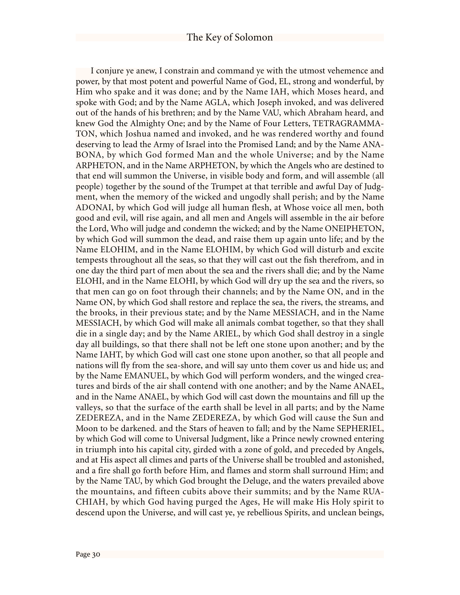I conjure ye anew, I constrain and command ye with the utmost vehemence and power, by that most potent and powerful Name of God, EL, strong and wonderful, by Him who spake and it was done; and by the Name IAH, which Moses heard, and spoke with God; and by the Name AGLA, which Joseph invoked, and was delivered out of the hands of his brethren; and by the Name VAU, which Abraham heard, and knew God the Almighty One; and by the Name of Four Letters, TETRAGRAMMA-TON, which Joshua named and invoked, and he was rendered worthy and found deserving to lead the Army of Israel into the Promised Land; and by the Name ANA-BONA, by which God formed Man and the whole Universe; and by the Name ARPHETON, and in the Name ARPHETON, by which the Angels who are destined to that end will summon the Universe, in visible body and form, and will assemble (all people) together by the sound of the Trumpet at that terrible and awful Day of Judgment, when the memory of the wicked and ungodly shall perish; and by the Name ADONAI, by which God will judge all human flesh, at Whose voice all men, both good and evil, will rise again, and all men and Angels will assemble in the air before the Lord, Who will judge and condemn the wicked; and by the Name ONEIPHETON, by which God will summon the dead, and raise them up again unto life; and by the Name ELOHIM, and in the Name ELOHIM, by which God will disturb and excite tempests throughout all the seas, so that they will cast out the fish therefrom, and in one day the third part of men about the sea and the rivers shall die; and by the Name ELOHI, and in the Name ELOHI, by which God will dry up the sea and the rivers, so that men can go on foot through their channels; and by the Name ON, and in the Name ON, by which God shall restore and replace the sea, the rivers, the streams, and the brooks, in their previous state; and by the Name MESSIACH, and in the Name MESSIACH, by which God will make all animals combat together, so that they shall die in a single day; and by the Name ARIEL, by which God shall destroy in a single day all buildings, so that there shall not be left one stone upon another; and by the Name IAHT, by which God will cast one stone upon another, so that all people and nations will fly from the sea-shore, and will say unto them cover us and hide us; and by the Name EMANUEL, by which God will perform wonders, and the winged creatures and birds of the air shall contend with one another; and by the Name ANAEL, and in the Name ANAEL, by which God will cast down the mountains and fill up the valleys, so that the surface of the earth shall be level in all parts; and by the Name ZEDEREZA, and in the Name ZEDEREZA, by which God will cause the Sun and Moon to be darkened. and the Stars of heaven to fall; and by the Name SEPHERIEL, by which God will come to Universal Judgment, like a Prince newly crowned entering in triumph into his capital city, girded with a zone of gold, and preceded by Angels, and at His aspect all climes and parts of the Universe shall be troubled and astonished, and a fire shall go forth before Him, and flames and storm shall surround Him; and by the Name TAU, by which God brought the Deluge, and the waters prevailed above the mountains, and fifteen cubits above their summits; and by the Name RUA-CHIAH, by which God having purged the Ages, He will make His Holy spirit to descend upon the Universe, and will cast ye, ye rebellious Spirits, and unclean beings,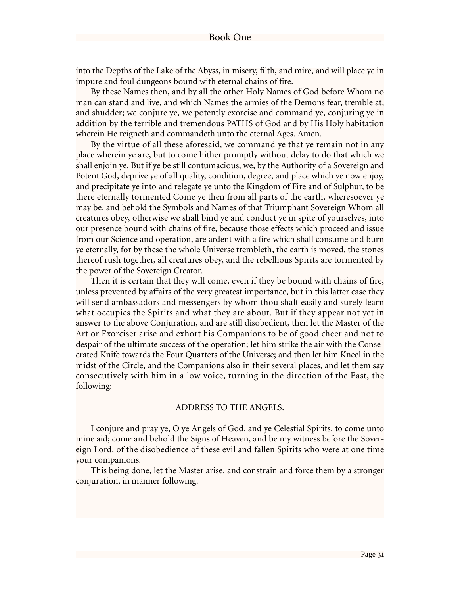into the Depths of the Lake of the Abyss, in misery, filth, and mire, and will place ye in impure and foul dungeons bound with eternal chains of fire.

By these Names then, and by all the other Holy Names of God before Whom no man can stand and live, and which Names the armies of the Demons fear, tremble at, and shudder; we conjure ye, we potently exorcise and command ye, conjuring ye in addition by the terrible and tremendous PATHS of God and by His Holy habitation wherein He reigneth and commandeth unto the eternal Ages. Amen.

By the virtue of all these aforesaid, we command ye that ye remain not in any place wherein ye are, but to come hither promptly without delay to do that which we shall enjoin ye. But if ye be still contumacious, we, by the Authority of a Sovereign and Potent God, deprive ye of all quality, condition, degree, and place which ye now enjoy, and precipitate ye into and relegate ye unto the Kingdom of Fire and of Sulphur, to be there eternally tormented Come ye then from all parts of the earth, wheresoever ye may be, and behold the Symbols and Names of that Triumphant Sovereign Whom all creatures obey, otherwise we shall bind ye and conduct ye in spite of yourselves, into our presence bound with chains of fire, because those effects which proceed and issue from our Science and operation, are ardent with a fire which shall consume and burn ye eternally, for by these the whole Universe trembleth, the earth is moved, the stones thereof rush together, all creatures obey, and the rebellious Spirits are tormented by the power of the Sovereign Creator.

Then it is certain that they will come, even if they be bound with chains of fire, unless prevented by affairs of the very greatest importance, but in this latter case they will send ambassadors and messengers by whom thou shalt easily and surely learn what occupies the Spirits and what they are about. But if they appear not yet in answer to the above Conjuration, and are still disobedient, then let the Master of the Art or Exorciser arise and exhort his Companions to be of good cheer and not to despair of the ultimate success of the operation; let him strike the air with the Consecrated Knife towards the Four Quarters of the Universe; and then let him Kneel in the midst of the Circle, and the Companions also in their several places, and let them say consecutively with him in a low voice, turning in the direction of the East, the following:

#### ADDRESS TO THE ANGELS.

I conjure and pray ye, O ye Angels of God, and ye Celestial Spirits, to come unto mine aid; come and behold the Signs of Heaven, and be my witness before the Sovereign Lord, of the disobedience of these evil and fallen Spirits who were at one time your companions.

This being done, let the Master arise, and constrain and force them by a stronger conjuration, in manner following.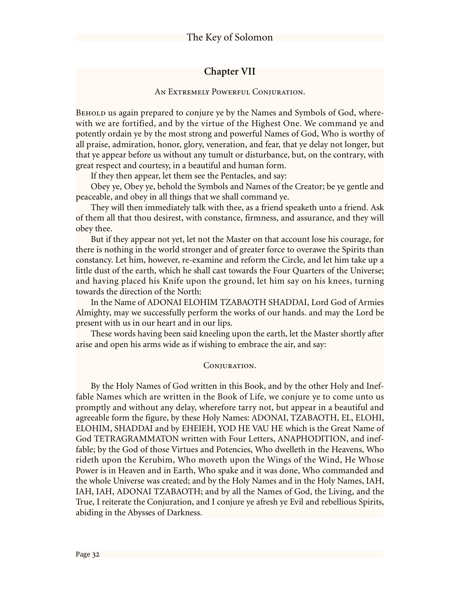# **Chapter VII**

#### AN EXTREMELY POWERFUL CONJURATION.

BEHOLD us again prepared to conjure ye by the Names and Symbols of God, wherewith we are fortified, and by the virtue of the Highest One. We command ye and potently ordain ye by the most strong and powerful Names of God, Who is worthy of all praise, admiration, honor, glory, veneration, and fear, that ye delay not longer, but that ye appear before us without any tumult or disturbance, but, on the contrary, with great respect and courtesy, in a beautiful and human form.

If they then appear, let them see the Pentacles, and say:

Obey ye, Obey ye, behold the Symbols and Names of the Creator; be ye gentle and peaceable, and obey in all things that we shall command ye.

They will then immediately talk with thee, as a friend speaketh unto a friend. Ask of them all that thou desirest, with constance, firmness, and assurance, and they will obey thee.

But if they appear not yet, let not the Master on that account lose his courage, for there is nothing in the world stronger and of greater force to overawe the Spirits than constancy. Let him, however, re-examine and reform the Circle, and let him take up a little dust of the earth, which he shall cast towards the Four Quarters of the Universe; and having placed his Knife upon the ground, let him say on his knees, turning towards the direction of the North:

In the Name of ADONAI ELOHIM TZABAOTH SHADDAI, Lord God of Armies Almighty, may we successfully perform the works of our hands. and may the Lord be present with us in our heart and in our lips.

These words having been said kneeling upon the earth, let the Master shortly after arise and open his arms wide as if wishing to embrace the air, and say:

#### CONJURATION.

By the Holy Names of God written in this Book, and by the other Holy and Ineffable Names which are written in the Book of Life, we conjure ye to come unto us promptly and without any delay, wherefore tarry not, but appear in a beautiful and agreeable form the figure, by these Holy Names: ADONAI, TZABAOTH, EL, ELOHI, ELOHIM, SHADDAI and by EHEIEH, YOD HE VAU HE which is the Great Name of God TETRAGRAMMATON written with Four Letters, ANAPHODITION, and ineffable; by the God of those Virtues and Potencies, Who dwelleth in the Heavens, Who rideth upon the Kerubim, Who moveth upon the Wings of the Wind, He Whose Power is in Heaven and in Earth, Who spake and it was done, Who commanded and the whole Universe was created; and by the Holy Names and in the Holy Names, IAH, IAH, IAH, ADONAI TZABAOTH; and by all the Names of God, the Living, and the True, I reiterate the Conjuration, and I conjure ye afresh ye Evil and rebellious Spirits, abiding in the Abysses of Darkness.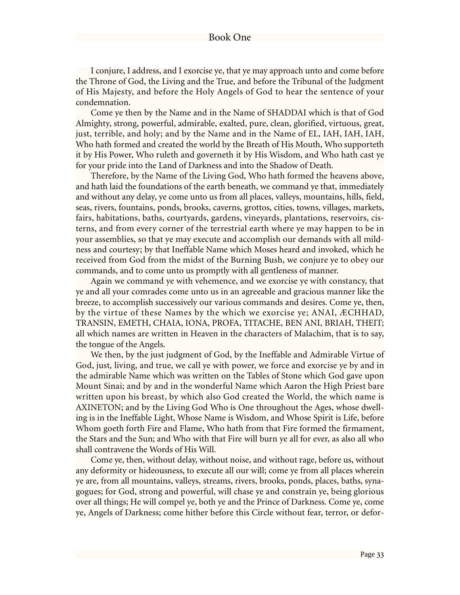I conjure, I address, and I exorcise ye, that ye may approach unto and come before the Throne of God, the Living and the True, and before the Tribunal of the Judgment of His Majesty, and before the Holy Angels of God to hear the sentence of your condemnation.

Come ye then by the Name and in the Name of SHADDAI which is that of God Almighty, strong, powerful, admirable, exalted, pure, clean, glorified, virtuous, great, just, terrible, and holy; and by the Name and in the Name of EL, IAH, IAH, IAH, Who hath formed and created the world by the Breath of His Mouth, Who supporteth it by His Power, Who ruleth and governeth it by His Wisdom, and Who hath cast ye for your pride into the Land of Darkness and into the Shadow of Death.

Therefore, by the Name of the Living God, Who hath formed the heavens above, and hath laid the foundations of the earth beneath, we command ye that, immediately and without any delay, ye come unto us from all places, valleys, mountains, hills, field, seas, rivers, fountains, ponds, brooks, caverns, grottos, cities, towns, villages, markets, fairs, habitations, baths, courtyards, gardens, vineyards, plantations, reservoirs, cisterns, and from every corner of the terrestrial earth where ye may happen to be in your assemblies, so that ye may execute and accomplish our demands with all mildness and courtesy; by that Ineffable Name which Moses heard and invoked, which he received from God from the midst of the Burning Bush, we conjure ye to obey our commands, and to come unto us promptly with all gentleness of manner.

Again we command ye with vehemence, and we exorcise ye with constancy, that ye and all your comrades come unto us in an agreeable and gracious manner like the breeze, to accomplish successively our various commands and desires. Come ye, then, by the virtue of these Names by the which we exorcise ye; ANAI, ÆCHHAD, TRANSIN, EMETH, CHAIA, IONA, PROFA, TITACHE, BEN ANI, BRIAH, THEIT; all which names are written in Heaven in the characters of Malachim, that is to say, the tongue of the Angels.

We then, by the just judgment of God, by the Ineffable and Admirable Virtue of God, just, living, and true, we call ye with power, we force and exorcise ye by and in the admirable Name which was written on the Tables of Stone which God gave upon Mount Sinai; and by and in the wonderful Name which Aaron the High Priest bare written upon his breast, by which also God created the World, the which name is AXINETON; and by the Living God Who is One throughout the Ages, whose dwelling is in the Ineffable Light, Whose Name is Wisdom, and Whose Spirit is Life, before Whom goeth forth Fire and Flame, Who hath from that Fire formed the firmament, the Stars and the Sun; and Who with that Fire will burn ye all for ever, as also all who shall contravene the Words of His Will.

Come ye, then, without delay, without noise, and without rage, before us, without any deformity or hideousness, to execute all our will; come ye from all places wherein ye are, from all mountains, valleys, streams, rivers, brooks, ponds, places, baths, synagogues; for God, strong and powerful, will chase ye and constrain ye, being glorious over all things; He will compel ye, both ye and the Prince of Darkness. Come ye, come ye, Angels of Darkness; come hither before this Circle without fear, terror, or defor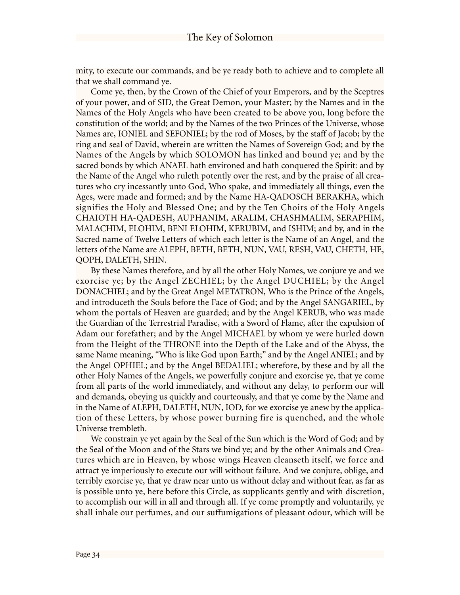mity, to execute our commands, and be ye ready both to achieve and to complete all that we shall command ye.

Come ye, then, by the Crown of the Chief of your Emperors, and by the Sceptres of your power, and of SID, the Great Demon, your Master; by the Names and in the Names of the Holy Angels who have been created to be above you, long before the constitution of the world; and by the Names of the two Princes of the Universe, whose Names are, IONIEL and SEFONIEL; by the rod of Moses, by the staff of Jacob; by the ring and seal of David, wherein are written the Names of Sovereign God; and by the Names of the Angels by which SOLOMON has linked and bound ye; and by the sacred bonds by which ANAEL hath environed and hath conquered the Spirit: and by the Name of the Angel who ruleth potently over the rest, and by the praise of all creatures who cry incessantly unto God, Who spake, and immediately all things, even the Ages, were made and formed; and by the Name HA-QADOSCH BERAKHA, which signifies the Holy and Blessed One; and by the Ten Choirs of the Holy Angels CHAIOTH HA-QADESH, AUPHANIM, ARALIM, CHASHMALIM, SERAPHIM, MALACHIM, ELOHIM, BENI ELOHIM, KERUBIM, and ISHIM; and by, and in the Sacred name of Twelve Letters of which each letter is the Name of an Angel, and the letters of the Name are ALEPH, BETH, BETH, NUN, VAU, RESH, VAU, CHETH, HE, QOPH, DALETH, SHIN.

By these Names therefore, and by all the other Holy Names, we conjure ye and we exorcise ye; by the Angel ZECHIEL; by the Angel DUCHIEL; by the Angel DONACHIEL; and by the Great Angel METATRON, Who is the Prince of the Angels, and introduceth the Souls before the Face of God; and by the Angel SANGARIEL, by whom the portals of Heaven are guarded; and by the Angel KERUB, who was made the Guardian of the Terrestrial Paradise, with a Sword of Flame, after the expulsion of Adam our forefather; and by the Angel MICHAEL by whom ye were hurled down from the Height of the THRONE into the Depth of the Lake and of the Abyss, the same Name meaning, "Who is like God upon Earth;" and by the Angel ANIEL; and by the Angel OPHIEL; and by the Angel BEDALIEL; wherefore, by these and by all the other Holy Names of the Angels, we powerfully conjure and exorcise ye, that ye come from all parts of the world immediately, and without any delay, to perform our will and demands, obeying us quickly and courteously, and that ye come by the Name and in the Name of ALEPH, DALETH, NUN, IOD, for we exorcise ye anew by the application of these Letters, by whose power burning fire is quenched, and the whole Universe trembleth.

We constrain ye yet again by the Seal of the Sun which is the Word of God; and by the Seal of the Moon and of the Stars we bind ye; and by the other Animals and Creatures which are in Heaven, by whose wings Heaven cleanseth itself, we force and attract ye imperiously to execute our will without failure. And we conjure, oblige, and terribly exorcise ye, that ye draw near unto us without delay and without fear, as far as is possible unto ye, here before this Circle, as supplicants gently and with discretion, to accomplish our will in all and through all. If ye come promptly and voluntarily, ye shall inhale our perfumes, and our suffumigations of pleasant odour, which will be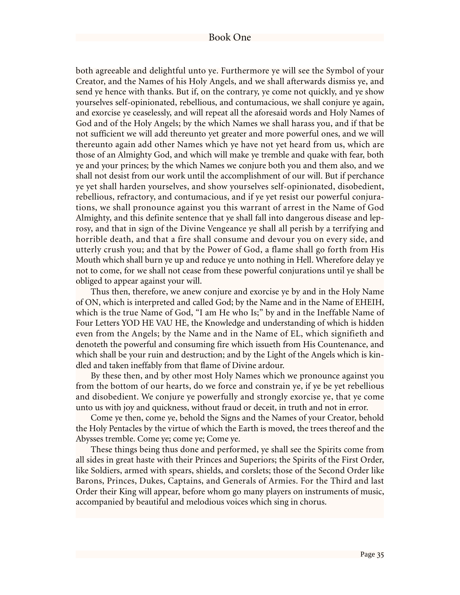both agreeable and delightful unto ye. Furthermore ye will see the Symbol of your Creator, and the Names of his Holy Angels, and we shall afterwards dismiss ye, and send ye hence with thanks. But if, on the contrary, ye come not quickly, and ye show yourselves self-opinionated, rebellious, and contumacious, we shall conjure ye again, and exorcise ye ceaselessly, and will repeat all the aforesaid words and Holy Names of God and of the Holy Angels; by the which Names we shall harass you, and if that be not sufficient we will add thereunto yet greater and more powerful ones, and we will thereunto again add other Names which ye have not yet heard from us, which are those of an Almighty God, and which will make ye tremble and quake with fear, both ye and your princes; by the which Names we conjure both you and them also, and we shall not desist from our work until the accomplishment of our will. But if perchance ye yet shall harden yourselves, and show yourselves self-opinionated, disobedient, rebellious, refractory, and contumacious, and if ye yet resist our powerful conjurations, we shall pronounce against you this warrant of arrest in the Name of God Almighty, and this definite sentence that ye shall fall into dangerous disease and leprosy, and that in sign of the Divine Vengeance ye shall all perish by a terrifying and horrible death, and that a fire shall consume and devour you on every side, and utterly crush you; and that by the Power of God, a flame shall go forth from His Mouth which shall burn ye up and reduce ye unto nothing in Hell. Wherefore delay ye not to come, for we shall not cease from these powerful conjurations until ye shall be obliged to appear against your will.

Thus then, therefore, we anew conjure and exorcise ye by and in the Holy Name of ON, which is interpreted and called God; by the Name and in the Name of EHEIH, which is the true Name of God, "I am He who Is;" by and in the Ineffable Name of Four Letters YOD HE VAU HE, the Knowledge and understanding of which is hidden even from the Angels; by the Name and in the Name of EL, which signifieth and denoteth the powerful and consuming fire which issueth from His Countenance, and which shall be your ruin and destruction; and by the Light of the Angels which is kindled and taken ineffably from that flame of Divine ardour.

By these then, and by other most Holy Names which we pronounce against you from the bottom of our hearts, do we force and constrain ye, if ye be yet rebellious and disobedient. We conjure ye powerfully and strongly exorcise ye, that ye come unto us with joy and quickness, without fraud or deceit, in truth and not in error.

Come ye then, come ye, behold the Signs and the Names of your Creator, behold the Holy Pentacles by the virtue of which the Earth is moved, the trees thereof and the Abysses tremble. Come ye; come ye; Come ye.

These things being thus done and performed, ye shall see the Spirits come from all sides in great haste with their Princes and Superiors; the Spirits of the First Order, like Soldiers, armed with spears, shields, and corslets; those of the Second Order like Barons, Princes, Dukes, Captains, and Generals of Armies. For the Third and last Order their King will appear, before whom go many players on instruments of music, accompanied by beautiful and melodious voices which sing in chorus.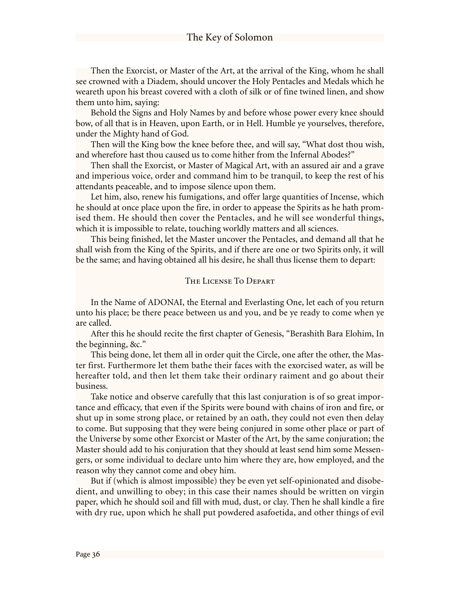Then the Exorcist, or Master of the Art, at the arrival of the King, whom he shall see crowned with a Diadem, should uncover the Holy Pentacles and Medals which he weareth upon his breast covered with a cloth of silk or of fine twined linen, and show them unto him, saying:

Behold the Signs and Holy Names by and before whose power every knee should bow, of all that is in Heaven, upon Earth, or in Hell. Humble ye yourselves, therefore, under the Mighty hand of God.

Then will the King bow the knee before thee, and will say, "What dost thou wish, and wherefore hast thou caused us to come hither from the Infernal Abodes?"

Then shall the Exorcist, or Master of Magical Art, with an assured air and a grave and imperious voice, order and command him to be tranquil, to keep the rest of his attendants peaceable, and to impose silence upon them.

Let him, also, renew his fumigations, and offer large quantities of Incense, which he should at once place upon the fire, in order to appease the Spirits as he hath promised them. He should then cover the Pentacles, and he will see wonderful things, which it is impossible to relate, touching worldly matters and all sciences.

This being finished, let the Master uncover the Pentacles, and demand all that he shall wish from the King of the Spirits, and if there are one or two Spirits only, it will be the same; and having obtained all his desire, he shall thus license them to depart:

#### The License To Depart

In the Name of ADONAI, the Eternal and Everlasting One, let each of you return unto his place; be there peace between us and you, and be ye ready to come when ye are called.

After this he should recite the first chapter of Genesis, "Berashith Bara Elohim, In the beginning, &c."

This being done, let them all in order quit the Circle, one after the other, the Master first. Furthermore let them bathe their faces with the exorcised water, as will be hereafter told, and then let them take their ordinary raiment and go about their business.

Take notice and observe carefully that this last conjuration is of so great importance and efficacy, that even if the Spirits were bound with chains of iron and fire, or shut up in some strong place, or retained by an oath, they could not even then delay to come. But supposing that they were being conjured in some other place or part of the Universe by some other Exorcist or Master of the Art, by the same conjuration; the Master should add to his conjuration that they should at least send him some Messengers, or some individual to declare unto him where they are, how employed, and the reason why they cannot come and obey him.

But if (which is almost impossible) they be even yet self-opinionated and disobedient, and unwilling to obey; in this case their names should be written on virgin paper, which he should soil and fill with mud, dust, or clay. Then he shall kindle a fire with dry rue, upon which he shall put powdered asafoetida, and other things of evil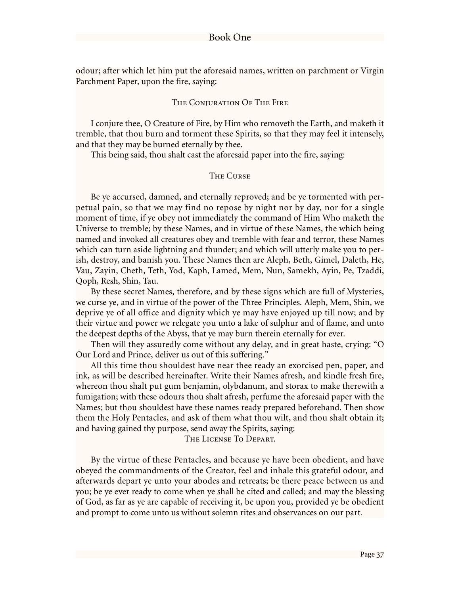odour; after which let him put the aforesaid names, written on parchment or Virgin Parchment Paper, upon the fire, saying:

#### THE CONJURATION OF THE FIRE

I conjure thee, O Creature of Fire, by Him who removeth the Earth, and maketh it tremble, that thou burn and torment these Spirits, so that they may feel it intensely, and that they may be burned eternally by thee.

This being said, thou shalt cast the aforesaid paper into the fire, saying:

#### The Curse

Be ye accursed, damned, and eternally reproved; and be ye tormented with perpetual pain, so that we may find no repose by night nor by day, nor for a single moment of time, if ye obey not immediately the command of Him Who maketh the Universe to tremble; by these Names, and in virtue of these Names, the which being named and invoked all creatures obey and tremble with fear and terror, these Names which can turn aside lightning and thunder; and which will utterly make you to perish, destroy, and banish you. These Names then are Aleph, Beth, Gimel, Daleth, He, Vau, Zayin, Cheth, Teth, Yod, Kaph, Lamed, Mem, Nun, Samekh, Ayin, Pe, Tzaddi, Qoph, Resh, Shin, Tau.

By these secret Names, therefore, and by these signs which are full of Mysteries, we curse ye, and in virtue of the power of the Three Principles. Aleph, Mem, Shin, we deprive ye of all office and dignity which ye may have enjoyed up till now; and by their virtue and power we relegate you unto a lake of sulphur and of flame, and unto the deepest depths of the Abyss, that ye may burn therein eternally for ever.

Then will they assuredly come without any delay, and in great haste, crying: "O Our Lord and Prince, deliver us out of this suffering."

All this time thou shouldest have near thee ready an exorcised pen, paper, and ink, as will be described hereinafter. Write their Names afresh, and kindle fresh fire, whereon thou shalt put gum benjamin, olybdanum, and storax to make therewith a fumigation; with these odours thou shalt afresh, perfume the aforesaid paper with the Names; but thou shouldest have these names ready prepared beforehand. Then show them the Holy Pentacles, and ask of them what thou wilt, and thou shalt obtain it; and having gained thy purpose, send away the Spirits, saying:

The License To Depart.

By the virtue of these Pentacles, and because ye have been obedient, and have obeyed the commandments of the Creator, feel and inhale this grateful odour, and afterwards depart ye unto your abodes and retreats; be there peace between us and you; be ye ever ready to come when ye shall be cited and called; and may the blessing of God, as far as ye are capable of receiving it, be upon you, provided ye be obedient and prompt to come unto us without solemn rites and observances on our part.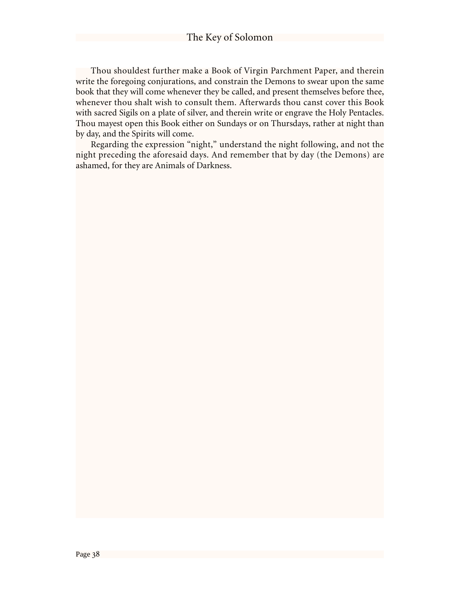Thou shouldest further make a Book of Virgin Parchment Paper, and therein write the foregoing conjurations, and constrain the Demons to swear upon the same book that they will come whenever they be called, and present themselves before thee, whenever thou shalt wish to consult them. Afterwards thou canst cover this Book with sacred Sigils on a plate of silver, and therein write or engrave the Holy Pentacles. Thou mayest open this Book either on Sundays or on Thursdays, rather at night than by day, and the Spirits will come.

Regarding the expression "night," understand the night following, and not the night preceding the aforesaid days. And remember that by day (the Demons) are ashamed, for they are Animals of Darkness.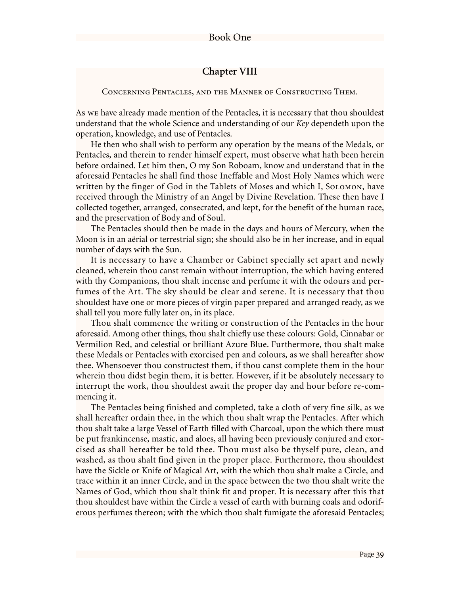### **Chapter VIII**

#### Concerning Pentacles, and the Manner of Constructing Them.

As we have already made mention of the Pentacles, it is necessary that thou shouldest understand that the whole Science and understanding of our *Key* dependeth upon the operation, knowledge, and use of Pentacles.

He then who shall wish to perform any operation by the means of the Medals, or Pentacles, and therein to render himself expert, must observe what hath been herein before ordained. Let him then, O my Son Roboam, know and understand that in the aforesaid Pentacles he shall find those Ineffable and Most Holy Names which were written by the finger of God in the Tablets of Moses and which I, Solomon, have received through the Ministry of an Angel by Divine Revelation. These then have I collected together, arranged, consecrated, and kept, for the benefit of the human race, and the preservation of Body and of Soul.

The Pentacles should then be made in the days and hours of Mercury, when the Moon is in an aërial or terrestrial sign; she should also be in her increase, and in equal number of days with the Sun.

It is necessary to have a Chamber or Cabinet specially set apart and newly cleaned, wherein thou canst remain without interruption, the which having entered with thy Companions, thou shalt incense and perfume it with the odours and perfumes of the Art. The sky should be clear and serene. It is necessary that thou shouldest have one or more pieces of virgin paper prepared and arranged ready, as we shall tell you more fully later on, in its place.

Thou shalt commence the writing or construction of the Pentacles in the hour aforesaid. Among other things, thou shalt chiefly use these colours: Gold, Cinnabar or Vermilion Red, and celestial or brilliant Azure Blue. Furthermore, thou shalt make these Medals or Pentacles with exorcised pen and colours, as we shall hereafter show thee. Whensoever thou constructest them, if thou canst complete them in the hour wherein thou didst begin them, it is better. However, if it be absolutely necessary to interrupt the work, thou shouldest await the proper day and hour before re-commencing it.

The Pentacles being finished and completed, take a cloth of very fine silk, as we shall hereafter ordain thee, in the which thou shalt wrap the Pentacles. After which thou shalt take a large Vessel of Earth filled with Charcoal, upon the which there must be put frankincense, mastic, and aloes, all having been previously conjured and exorcised as shall hereafter be told thee. Thou must also be thyself pure, clean, and washed, as thou shalt find given in the proper place. Furthermore, thou shouldest have the Sickle or Knife of Magical Art, with the which thou shalt make a Circle, and trace within it an inner Circle, and in the space between the two thou shalt write the Names of God, which thou shalt think fit and proper. It is necessary after this that thou shouldest have within the Circle a vessel of earth with burning coals and odoriferous perfumes thereon; with the which thou shalt fumigate the aforesaid Pentacles;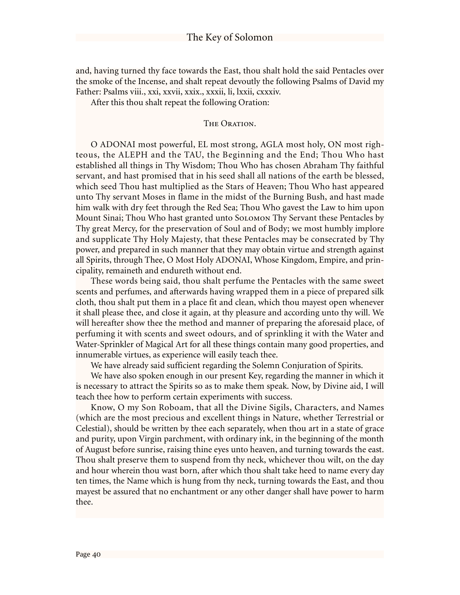and, having turned thy face towards the East, thou shalt hold the said Pentacles over the smoke of the Incense, and shalt repeat devoutly the following Psalms of David my Father: Psalms viii., xxi, xxvii, xxix., xxxii, li, lxxii, cxxxiv.

After this thou shalt repeat the following Oration:

#### THE ORATION.

O ADONAI most powerful, EL most strong, AGLA most holy, ON most righteous, the ALEPH and the TAU, the Beginning and the End; Thou Who hast established all things in Thy Wisdom; Thou Who has chosen Abraham Thy faithful servant, and hast promised that in his seed shall all nations of the earth be blessed, which seed Thou hast multiplied as the Stars of Heaven; Thou Who hast appeared unto Thy servant Moses in flame in the midst of the Burning Bush, and hast made him walk with dry feet through the Red Sea; Thou Who gavest the Law to him upon Mount Sinai; Thou Who hast granted unto Solomon Thy Servant these Pentacles by Thy great Mercy, for the preservation of Soul and of Body; we most humbly implore and supplicate Thy Holy Majesty, that these Pentacles may be consecrated by Thy power, and prepared in such manner that they may obtain virtue and strength against all Spirits, through Thee, O Most Holy ADONAI, Whose Kingdom, Empire, and principality, remaineth and endureth without end.

These words being said, thou shalt perfume the Pentacles with the same sweet scents and perfumes, and afterwards having wrapped them in a piece of prepared silk cloth, thou shalt put them in a place fit and clean, which thou mayest open whenever it shall please thee, and close it again, at thy pleasure and according unto thy will. We will hereafter show thee the method and manner of preparing the aforesaid place, of perfuming it with scents and sweet odours, and of sprinkling it with the Water and Water-Sprinkler of Magical Art for all these things contain many good properties, and innumerable virtues, as experience will easily teach thee.

We have already said sufficient regarding the Solemn Conjuration of Spirits.

We have also spoken enough in our present Key, regarding the manner in which it is necessary to attract the Spirits so as to make them speak. Now, by Divine aid, I will teach thee how to perform certain experiments with success.

Know, O my Son Roboam, that all the Divine Sigils, Characters, and Names (which are the most precious and excellent things in Nature, whether Terrestrial or Celestial), should be written by thee each separately, when thou art in a state of grace and purity, upon Virgin parchment, with ordinary ink, in the beginning of the month of August before sunrise, raising thine eyes unto heaven, and turning towards the east. Thou shalt preserve them to suspend from thy neck, whichever thou wilt, on the day and hour wherein thou wast born, after which thou shalt take heed to name every day ten times, the Name which is hung from thy neck, turning towards the East, and thou mayest be assured that no enchantment or any other danger shall have power to harm thee.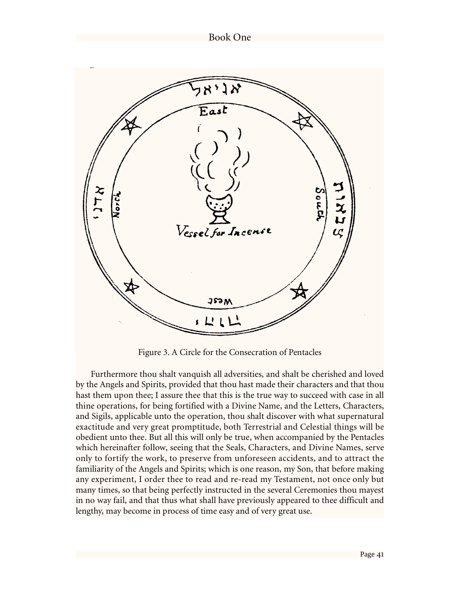

Figure 3. A Circle for the Consecration of Pentacles

Furthermore thou shalt vanquish all adversities, and shalt be cherished and loved by the Angels and Spirits, provided that thou hast made their characters and that thou hast them upon thee; I assure thee that this is the true way to succeed with case in all thine operations, for being fortified with a Divine Name, and the Letters, Characters, and Sigils, applicable unto the operation, thou shalt discover with what supernatural exactitude and very great promptitude, both Terrestrial and Celestial things will be obedient unto thee. But all this will only be true, when accompanied by the Pentacles which hereinafter follow, seeing that the Seals, Characters, and Divine Names, serve only to fortify the work, to preserve from unforeseen accidents, and to attract the familiarity of the Angels and Spirits; which is one reason, my Son, that before making any experiment, I order thee to read and re-read my Testament, not once only but many times, so that being perfectly instructed in the several Ceremonies thou mayest in no way fail, and that thus what shall have previously appeared to thee difficult and lengthy, may become in process of time easy and of very great use.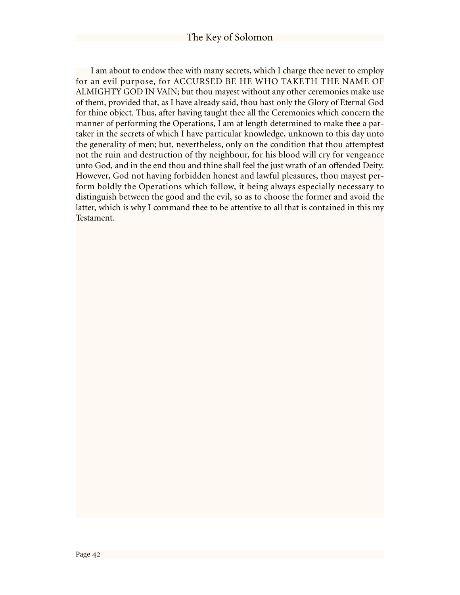I am about to endow thee with many secrets, which I charge thee never to employ for an evil purpose, for ACCURSED BE HE WHO TAKETH THE NAME OF ALMIGHTY GOD IN VAIN; but thou mayest without any other ceremonies make use of them, provided that, as I have already said, thou hast only the Glory of Eternal God for thine object. Thus, after having taught thee all the Ceremonies which concern the manner of performing the Operations, I am at length determined to make thee a partaker in the secrets of which I have particular knowledge, unknown to this day unto the generality of men; but, nevertheless, only on the condition that thou attemptest not the ruin and destruction of thy neighbour, for his blood will cry for vengeance unto God, and in the end thou and thine shall feel the just wrath of an offended Deity. However, God not having forbidden honest and lawful pleasures, thou mayest perform boldly the Operations which follow, it being always especially necessary to distinguish between the good and the evil, so as to choose the former and avoid the latter, which is why I command thee to be attentive to all that is contained in this my Testament.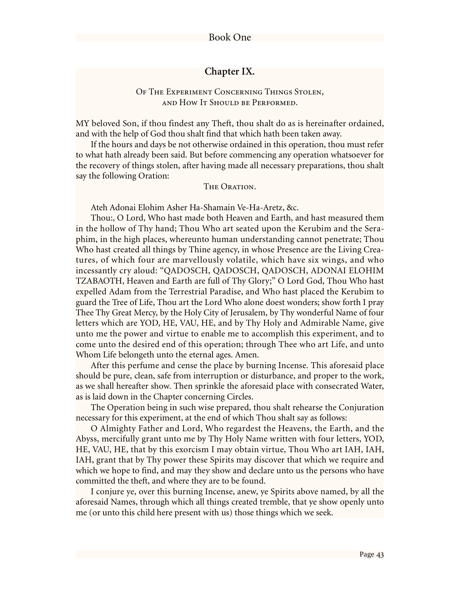### **Chapter IX.**

#### Of The Experiment Concerning Things Stolen, and How It Should be Performed.

MY beloved Son, if thou findest any Theft, thou shalt do as is hereinafter ordained, and with the help of God thou shalt find that which hath been taken away.

If the hours and days be not otherwise ordained in this operation, thou must refer to what hath already been said. But before commencing any operation whatsoever for the recovery of things stolen, after having made all necessary preparations, thou shalt say the following Oration:

#### THE ORATION.

Ateh Adonai Elohim Asher Ha-Shamain Ve-Ha-Aretz, &c.

Thou:, O Lord, Who hast made both Heaven and Earth, and hast measured them in the hollow of Thy hand; Thou Who art seated upon the Kerubim and the Seraphim, in the high places, whereunto human understanding cannot penetrate; Thou Who hast created all things by Thine agency, in whose Presence are the Living Creatures, of which four are marvellously volatile, which have six wings, and who incessantly cry aloud: "QADOSCH, QADOSCH, QADOSCH, ADONAI ELOHIM TZABAOTH, Heaven and Earth are full of Thy Glory;" O Lord God, Thou Who hast expelled Adam from the Terrestrial Paradise, and Who hast placed the Kerubim to guard the Tree of Life, Thou art the Lord Who alone doest wonders; show forth I pray Thee Thy Great Mercy, by the Holy City of Jerusalem, by Thy wonderful Name of four letters which are YOD, HE, VAU, HE, and by Thy Holy and Admirable Name, give unto me the power and virtue to enable me to accomplish this experiment, and to come unto the desired end of this operation; through Thee who art Life, and unto Whom Life belongeth unto the eternal ages. Amen.

After this perfume and cense the place by burning Incense. This aforesaid place should be pure, clean, safe from interruption or disturbance, and proper to the work, as we shall hereafter show. Then sprinkle the aforesaid place with consecrated Water, as is laid down in the Chapter concerning Circles.

The Operation being in such wise prepared, thou shalt rehearse the Conjuration necessary for this experiment, at the end of which Thou shalt say as follows:

O Almighty Father and Lord, Who regardest the Heavens, the Earth, and the Abyss, mercifully grant unto me by Thy Holy Name written with four letters, YOD, HE, VAU, HE, that by this exorcism I may obtain virtue, Thou Who art IAH, IAH, IAH, grant that by Thy power these Spirits may discover that which we require and which we hope to find, and may they show and declare unto us the persons who have committed the theft, and where they are to be found.

I conjure ye, over this burning Incense, anew, ye Spirits above named, by all the aforesaid Names, through which all things created tremble, that ye show openly unto me (or unto this child here present with us) those things which we seek.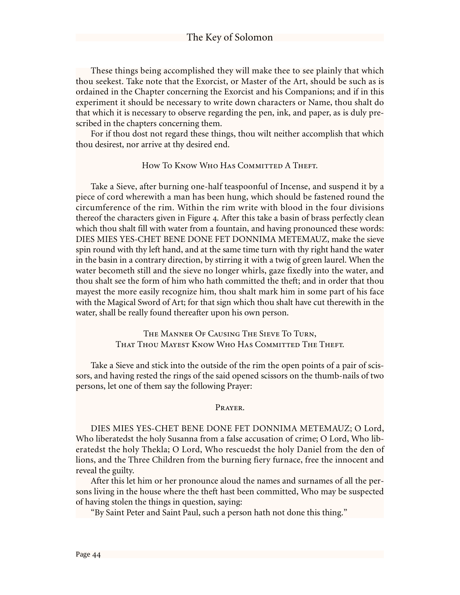These things being accomplished they will make thee to see plainly that which thou seekest. Take note that the Exorcist, or Master of the Art, should be such as is ordained in the Chapter concerning the Exorcist and his Companions; and if in this experiment it should be necessary to write down characters or Name, thou shalt do that which it is necessary to observe regarding the pen, ink, and paper, as is duly prescribed in the chapters concerning them.

For if thou dost not regard these things, thou wilt neither accomplish that which thou desirest, nor arrive at thy desired end.

#### How To Know Who Has Committed A Theft.

Take a Sieve, after burning one-half teaspoonful of Incense, and suspend it by a piece of cord wherewith a man has been hung, which should be fastened round the circumference of the rim. Within the rim write with blood in the four divisions thereof the characters given in Figure 4. After this take a basin of brass perfectly clean which thou shalt fill with water from a fountain, and having pronounced these words: DIES MIES YES-CHET BENE DONE FET DONNIMA METEMAUZ, make the sieve spin round with thy left hand, and at the same time turn with thy right hand the water in the basin in a contrary direction, by stirring it with a twig of green laurel. When the water becometh still and the sieve no longer whirls, gaze fixedly into the water, and thou shalt see the form of him who hath committed the theft; and in order that thou mayest the more easily recognize him, thou shalt mark him in some part of his face with the Magical Sword of Art; for that sign which thou shalt have cut therewith in the water, shall be really found thereafter upon his own person.

> The Manner Of Causing The Sieve To Turn, That Thou Mayest Know Who Has Committed The Theft.

Take a Sieve and stick into the outside of the rim the open points of a pair of scissors, and having rested the rings of the said opened scissors on the thumb-nails of two persons, let one of them say the following Prayer:

#### Prayer.

DIES MIES YES-CHET BENE DONE FET DONNIMA METEMAUZ; O Lord, Who liberatedst the holy Susanna from a false accusation of crime; O Lord, Who liberatedst the holy Thekla; O Lord, Who rescuedst the holy Daniel from the den of lions, and the Three Children from the burning fiery furnace, free the innocent and reveal the guilty.

After this let him or her pronounce aloud the names and surnames of all the persons living in the house where the theft hast been committed, Who may be suspected of having stolen the things in question, saying:

"By Saint Peter and Saint Paul, such a person hath not done this thing."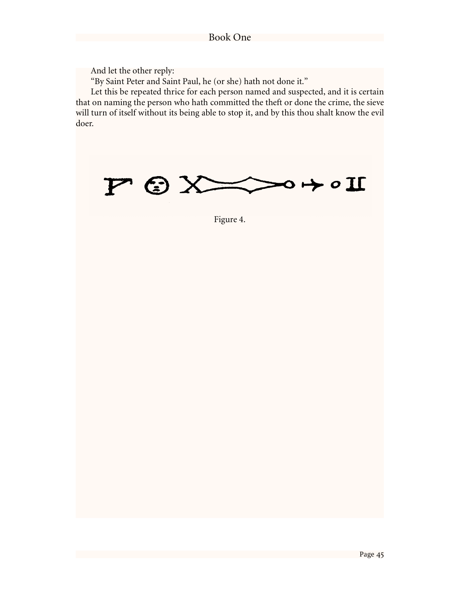And let the other reply:

"By Saint Peter and Saint Paul, he (or she) hath not done it."

Let this be repeated thrice for each person named and suspected, and it is certain that on naming the person who hath committed the theft or done the crime, the sieve will turn of itself without its being able to stop it, and by this thou shalt know the evil doer.



Figure 4.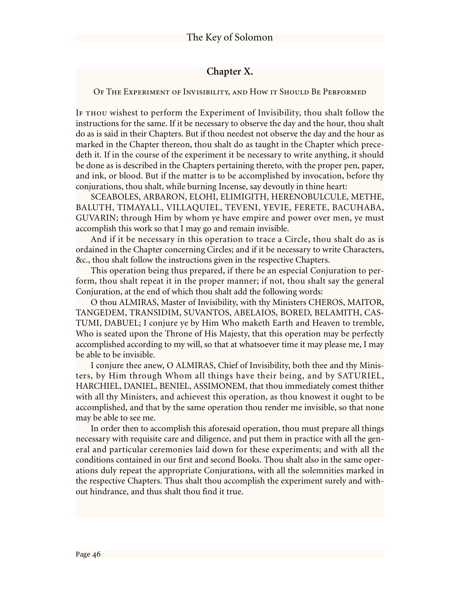# **Chapter X.**

### Of The Experiment of Invisibility, and How it Should Be Performed

If thou wishest to perform the Experiment of Invisibility, thou shalt follow the instructions for the same. If it be necessary to observe the day and the hour, thou shalt do as is said in their Chapters. But if thou needest not observe the day and the hour as marked in the Chapter thereon, thou shalt do as taught in the Chapter which precedeth it. If in the course of the experiment it be necessary to write anything, it should be done as is described in the Chapters pertaining thereto, with the proper pen, paper, and ink, or blood. But if the matter is to be accomplished by invocation, before thy conjurations, thou shalt, while burning Incense, say devoutly in thine heart:

SCEABOLES, ARBARON, ELOHI, ELIMIGITH, HERENOBULCULE, METHE, BALUTH, TIMAYALL, VILLAQUIEL, TEVENI, YEVIE, FERETE, BACUHABA, GUVARIN; through Him by whom ye have empire and power over men, ye must accomplish this work so that I may go and remain invisible.

And if it be necessary in this operation to trace a Circle, thou shalt do as is ordained in the Chapter concerning Circles; and if it be necessary to write Characters, &c., thou shalt follow the instructions given in the respective Chapters.

This operation being thus prepared, if there be an especial Conjuration to perform, thou shalt repeat it in the proper manner; if not, thou shalt say the general Conjuration, at the end of which thou shalt add the following words:

O thou ALMIRAS, Master of Invisibility, with thy Ministers CHEROS, MAITOR, TANGEDEM, TRANSIDIM, SUVANTOS, ABELAIOS, BORED, BELAMITH, CAS-TUMI, DABUEL; I conjure ye by Him Who maketh Earth and Heaven to tremble, Who is seated upon the Throne of His Majesty, that this operation may be perfectly accomplished according to my will, so that at whatsoever time it may please me, I may be able to be invisible.

I conjure thee anew, O ALMIRAS, Chief of Invisibility, both thee and thy Ministers, by Him through Whom all things have their being, and by SATURIEL, HARCHIEL, DANIEL, BENIEL, ASSIMONEM, that thou immediately comest thither with all thy Ministers, and achievest this operation, as thou knowest it ought to be accomplished, and that by the same operation thou render me invisible, so that none may be able to see me.

In order then to accomplish this aforesaid operation, thou must prepare all things necessary with requisite care and diligence, and put them in practice with all the general and particular ceremonies laid down for these experiments; and with all the conditions contained in our first and second Books. Thou shalt also in the same operations duly repeat the appropriate Conjurations, with all the solemnities marked in the respective Chapters. Thus shalt thou accomplish the experiment surely and without hindrance, and thus shalt thou find it true.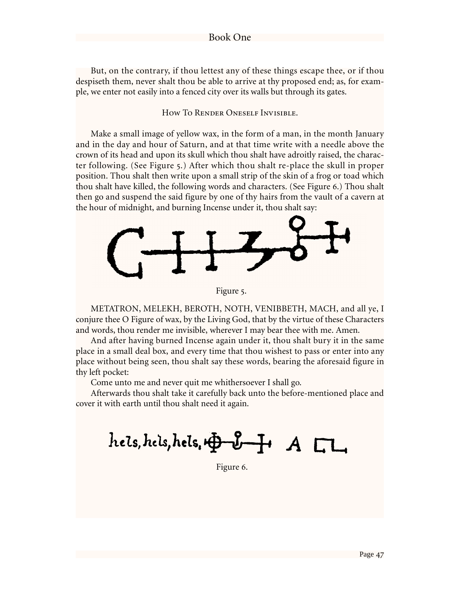But, on the contrary, if thou lettest any of these things escape thee, or if thou despiseth them, never shalt thou be able to arrive at thy proposed end; as, for example, we enter not easily into a fenced city over its walls but through its gates.

How To Render Oneself Invisible.

Make a small image of yellow wax, in the form of a man, in the month January and in the day and hour of Saturn, and at that time write with a needle above the crown of its head and upon its skull which thou shalt have adroitly raised, the character following. (See Figure 5.) After which thou shalt re-place the skull in proper position. Thou shalt then write upon a small strip of the skin of a frog or toad which thou shalt have killed, the following words and characters. (See Figure 6.) Thou shalt then go and suspend the said figure by one of thy hairs from the vault of a cavern at the hour of midnight, and burning Incense under it, thou shalt say:



Figure 5.

METATRON, MELEKH, BEROTH, NOTH, VENIBBETH, MACH, and all ye, I conjure thee O Figure of wax, by the Living God, that by the virtue of these Characters and words, thou render me invisible, wherever I may bear thee with me. Amen.

And after having burned Incense again under it, thou shalt bury it in the same place in a small deal box, and every time that thou wishest to pass or enter into any place without being seen, thou shalt say these words, bearing the aforesaid figure in thy left pocket:

Come unto me and never quit me whithersoever I shall go.

Afterwards thou shalt take it carefully back unto the before-mentioned place and cover it with earth until thou shalt need it again.

hels, hels, hels, \$ -8 - 1 A LL

Figure 6.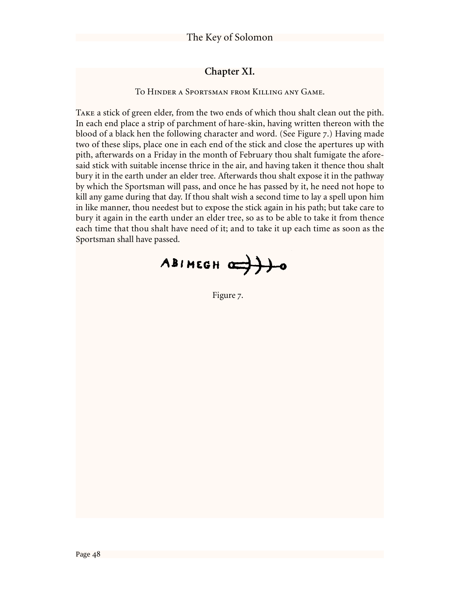# **Chapter XI.**

### To Hinder a Sportsman from Killing any Game.

Take a stick of green elder, from the two ends of which thou shalt clean out the pith. In each end place a strip of parchment of hare-skin, having written thereon with the blood of a black hen the following character and word. (See Figure 7.) Having made two of these slips, place one in each end of the stick and close the apertures up with pith, afterwards on a Friday in the month of February thou shalt fumigate the aforesaid stick with suitable incense thrice in the air, and having taken it thence thou shalt bury it in the earth under an elder tree. Afterwards thou shalt expose it in the pathway by which the Sportsman will pass, and once he has passed by it, he need not hope to kill any game during that day. If thou shalt wish a second time to lay a spell upon him in like manner, thou needest but to expose the stick again in his path; but take care to bury it again in the earth under an elder tree, so as to be able to take it from thence each time that thou shalt have need of it; and to take it up each time as soon as the Sportsman shall have passed.



Figure 7.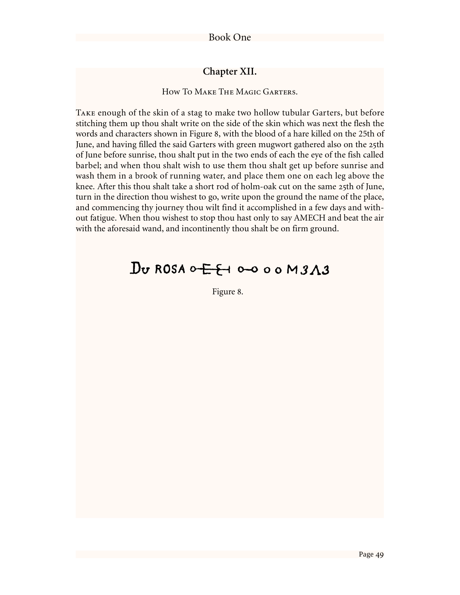# **Chapter XII.**

### How To Make The Magic Garters.

Take enough of the skin of a stag to make two hollow tubular Garters, but before stitching them up thou shalt write on the side of the skin which was next the flesh the words and characters shown in Figure 8, with the blood of a hare killed on the 25th of June, and having filled the said Garters with green mugwort gathered also on the 25th of June before sunrise, thou shalt put in the two ends of each the eye of the fish called barbel; and when thou shalt wish to use them thou shalt get up before sunrise and wash them in a brook of running water, and place them one on each leg above the knee. After this thou shalt take a short rod of holm-oak cut on the same 25th of June, turn in the direction thou wishest to go, write upon the ground the name of the place, and commencing thy journey thou wilt find it accomplished in a few days and without fatigue. When thou wishest to stop thou hast only to say AMECH and beat the air with the aforesaid wand, and incontinently thou shalt be on firm ground.

# $D_{\mathbf{U}}$  ROSA  $\circ \in \leftarrow$  0-0 0 0 M  $3\Lambda$ 3

Figure 8.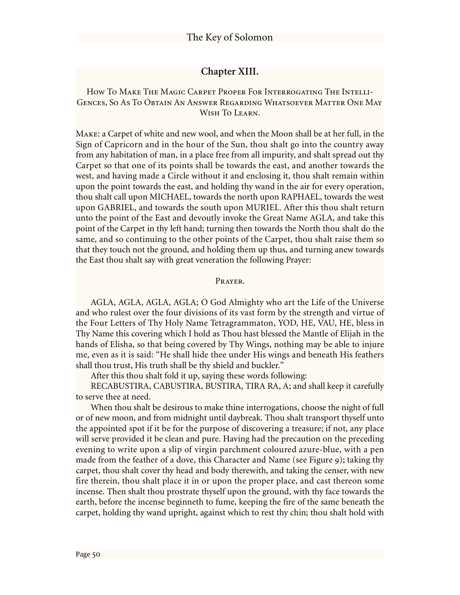### **Chapter XIII.**

### How To Make The Magic Carpet Proper For Interrogating The Intelli-Gences, So As To Obtain An Answer Regarding Whatsoever Matter One May Wish To Learn.

Make: a Carpet of white and new wool, and when the Moon shall be at her full, in the Sign of Capricorn and in the hour of the Sun, thou shalt go into the country away from any habitation of man, in a place free from all impurity, and shalt spread out thy Carpet so that one of its points shall be towards the east, and another towards the west, and having made a Circle without it and enclosing it, thou shalt remain within upon the point towards the east, and holding thy wand in the air for every operation, thou shalt call upon MICHAEL, towards the north upon RAPHAEL, towards the west upon GABRIEL, and towards the south upon MURIEL. After this thou shalt return unto the point of the East and devoutly invoke the Great Name AGLA, and take this point of the Carpet in thy left hand; turning then towards the North thou shalt do the same, and so continuing to the other points of the Carpet, thou shalt raise them so that they touch not the ground, and holding them up thus, and turning anew towards the East thou shalt say with great veneration the following Prayer:

#### Prayer.

AGLA, AGLA, AGLA, AGLA; O God Almighty who art the Life of the Universe and who rulest over the four divisions of its vast form by the strength and virtue of the Four Letters of Thy Holy Name Tetragrammaton, YOD, HE, VAU, HE, bless in Thy Name this covering which I hold as Thou hast blessed the Mantle of Elijah in the hands of Elisha, so that being covered by Thy Wings, nothing may be able to injure me, even as it is said: "He shall hide thee under His wings and beneath His feathers shall thou trust, His truth shall be thy shield and buckler."

After this thou shalt fold it up, saying these words following:

RECABUSTIRA, CABUSTIRA, BUSTIRA, TIRA RA, A; and shall keep it carefully to serve thee at need.

When thou shalt be desirous to make thine interrogations, choose the night of full or of new moon, and from midnight until daybreak. Thou shalt transport thyself unto the appointed spot if it be for the purpose of discovering a treasure; if not, any place will serve provided it be clean and pure. Having had the precaution on the preceding evening to write upon a slip of virgin parchment coloured azure-blue, with a pen made from the feather of a dove, this Character and Name (see Figure 9); taking thy carpet, thou shalt cover thy head and body therewith, and taking the censer, with new fire therein, thou shalt place it in or upon the proper place, and cast thereon some incense. Then shalt thou prostrate thyself upon the ground, with thy face towards the earth, before the incense beginneth to fume, keeping the fire of the same beneath the carpet, holding thy wand upright, against which to rest thy chin; thou shalt hold with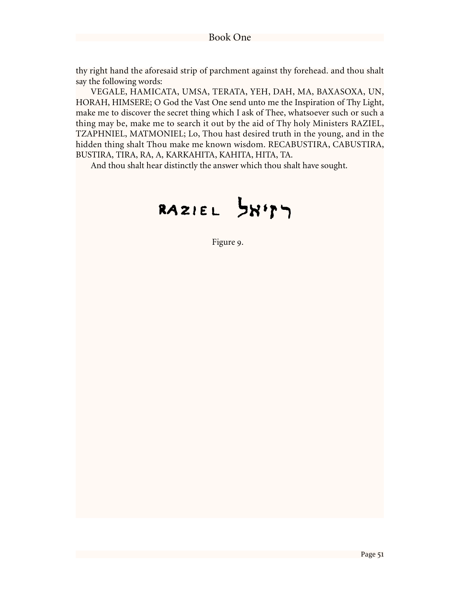thy right hand the aforesaid strip of parchment against thy forehead. and thou shalt say the following words:

VEGALE, HAMICATA, UMSA, TERATA, YEH, DAH, MA, BAXASOXA, UN, HORAH, HIMSERE; O God the Vast One send unto me the Inspiration of Thy Light, make me to discover the secret thing which I ask of Thee, whatsoever such or such a thing may be, make me to search it out by the aid of Thy holy Ministers RAZIEL, TZAPHNIEL, MATMONIEL; Lo, Thou hast desired truth in the young, and in the hidden thing shalt Thou make me known wisdom. RECABUSTIRA, CABUSTIRA, BUSTIRA, TIRA, RA, A, KARKAHITA, KAHITA, HITA, TA.

And thou shalt hear distinctly the answer which thou shalt have sought.

RAZIEL SHIPS

Figure 9.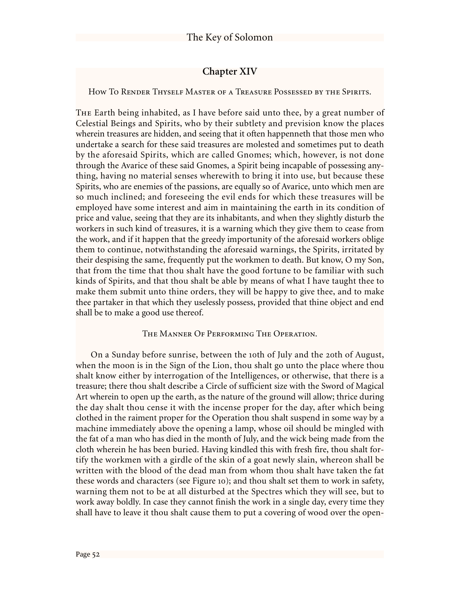# **Chapter XIV**

How To Render Thyself Master of a Treasure Possessed by the Spirits.

The Earth being inhabited, as I have before said unto thee, by a great number of Celestial Beings and Spirits, who by their subtlety and prevision know the places wherein treasures are hidden, and seeing that it often happenneth that those men who undertake a search for these said treasures are molested and sometimes put to death by the aforesaid Spirits, which are called Gnomes; which, however, is not done through the Avarice of these said Gnomes, a Spirit being incapable of possessing anything, having no material senses wherewith to bring it into use, but because these Spirits, who are enemies of the passions, are equally so of Avarice, unto which men are so much inclined; and foreseeing the evil ends for which these treasures will be employed have some interest and aim in maintaining the earth in its condition of price and value, seeing that they are its inhabitants, and when they slightly disturb the workers in such kind of treasures, it is a warning which they give them to cease from the work, and if it happen that the greedy importunity of the aforesaid workers oblige them to continue, notwithstanding the aforesaid warnings, the Spirits, irritated by their despising the same, frequently put the workmen to death. But know, O my Son, that from the time that thou shalt have the good fortune to be familiar with such kinds of Spirits, and that thou shalt be able by means of what I have taught thee to make them submit unto thine orders, they will be happy to give thee, and to make thee partaker in that which they uselessly possess, provided that thine object and end shall be to make a good use thereof.

#### The Manner Of Performing The Operation.

On a Sunday before sunrise, between the 10th of July and the 20th of August, when the moon is in the Sign of the Lion, thou shalt go unto the place where thou shalt know either by interrogation of the Intelligences, or otherwise, that there is a treasure; there thou shalt describe a Circle of sufficient size with the Sword of Magical Art wherein to open up the earth, as the nature of the ground will allow; thrice during the day shalt thou cense it with the incense proper for the day, after which being clothed in the raiment proper for the Operation thou shalt suspend in some way by a machine immediately above the opening a lamp, whose oil should be mingled with the fat of a man who has died in the month of July, and the wick being made from the cloth wherein he has been buried. Having kindled this with fresh fire, thou shalt fortify the workmen with a girdle of the skin of a goat newly slain, whereon shall be written with the blood of the dead man from whom thou shalt have taken the fat these words and characters (see Figure 10); and thou shalt set them to work in safety, warning them not to be at all disturbed at the Spectres which they will see, but to work away boldly. In case they cannot finish the work in a single day, every time they shall have to leave it thou shalt cause them to put a covering of wood over the open-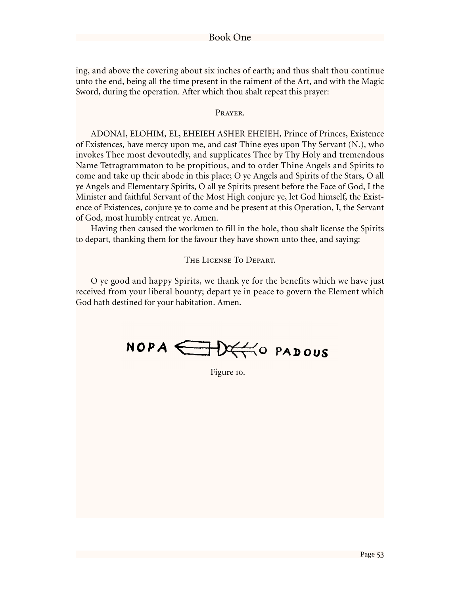ing, and above the covering about six inches of earth; and thus shalt thou continue unto the end, being all the time present in the raiment of the Art, and with the Magic Sword, during the operation. After which thou shalt repeat this prayer:

#### Prayer.

ADONAI, ELOHIM, EL, EHEIEH ASHER EHEIEH, Prince of Princes, Existence of Existences, have mercy upon me, and cast Thine eyes upon Thy Servant (N.), who invokes Thee most devoutedly, and supplicates Thee by Thy Holy and tremendous Name Tetragrammaton to be propitious, and to order Thine Angels and Spirits to come and take up their abode in this place; O ye Angels and Spirits of the Stars, O all ye Angels and Elementary Spirits, O all ye Spirits present before the Face of God, I the Minister and faithful Servant of the Most High conjure ye, let God himself, the Existence of Existences, conjure ye to come and be present at this Operation, I, the Servant of God, most humbly entreat ye. Amen.

Having then caused the workmen to fill in the hole, thou shalt license the Spirits to depart, thanking them for the favour they have shown unto thee, and saying:

#### The License To Depart.

O ye good and happy Spirits, we thank ye for the benefits which we have just received from your liberal bounty; depart ye in peace to govern the Element which God hath destined for your habitation. Amen.

$$
\mathsf{NOPA} \Longleftrightarrow \mathsf{D} \Longleftrightarrow \mathsf{O} \text{ PADOUS}
$$

Figure 10.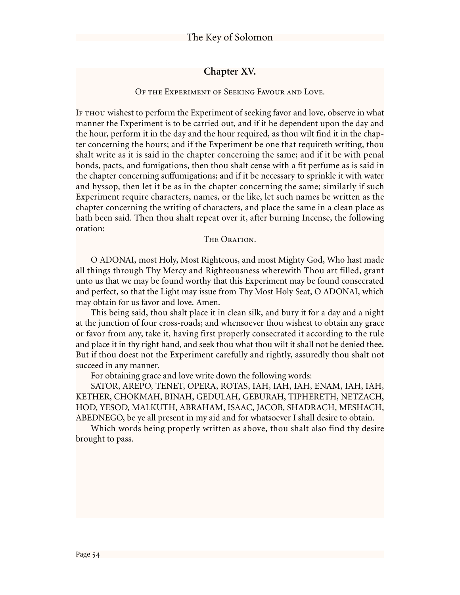### **Chapter XV.**

#### Of the Experiment of Seeking Favour and Love.

If thou wishest to perform the Experiment of seeking favor and love, observe in what manner the Experiment is to be carried out, and if it he dependent upon the day and the hour, perform it in the day and the hour required, as thou wilt find it in the chapter concerning the hours; and if the Experiment be one that requireth writing, thou shalt write as it is said in the chapter concerning the same; and if it be with penal bonds, pacts, and fumigations, then thou shalt cense with a fit perfume as is said in the chapter concerning suffumigations; and if it be necessary to sprinkle it with water and hyssop, then let it be as in the chapter concerning the same; similarly if such Experiment require characters, names, or the like, let such names be written as the chapter concerning the writing of characters, and place the same in a clean place as hath been said. Then thou shalt repeat over it, after burning Incense, the following oration:

#### THE ORATION.

O ADONAI, most Holy, Most Righteous, and most Mighty God, Who hast made all things through Thy Mercy and Righteousness wherewith Thou art filled, grant unto us that we may be found worthy that this Experiment may be found consecrated and perfect, so that the Light may issue from Thy Most Holy Seat, O ADONAI, which may obtain for us favor and love. Amen.

This being said, thou shalt place it in clean silk, and bury it for a day and a night at the junction of four cross-roads; and whensoever thou wishest to obtain any grace or favor from any, take it, having first properly consecrated it according to the rule and place it in thy right hand, and seek thou what thou wilt it shall not be denied thee. But if thou doest not the Experiment carefully and rightly, assuredly thou shalt not succeed in any manner.

For obtaining grace and love write down the following words:

SATOR, AREPO, TENET, OPERA, ROTAS, IAH, IAH, IAH, ENAM, IAH, IAH, KETHER, CHOKMAH, BINAH, GEDULAH, GEBURAH, TIPHERETH, NETZACH, HOD, YESOD, MALKUTH, ABRAHAM, ISAAC, JACOB, SHADRACH, MESHACH, ABEDNEGO, be ye all present in my aid and for whatsoever I shall desire to obtain.

Which words being properly written as above, thou shalt also find thy desire brought to pass.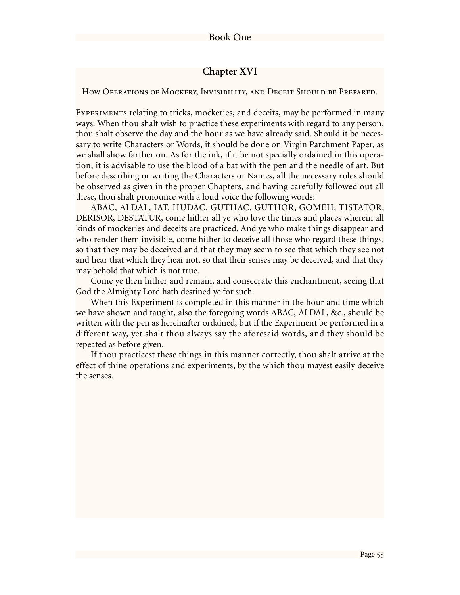### **Chapter XVI**

How Operations of Mockery, Invisibility, and Deceit Should be Prepared.

Experiments relating to tricks, mockeries, and deceits, may be performed in many ways. When thou shalt wish to practice these experiments with regard to any person, thou shalt observe the day and the hour as we have already said. Should it be necessary to write Characters or Words, it should be done on Virgin Parchment Paper, as we shall show farther on. As for the ink, if it be not specially ordained in this operation, it is advisable to use the blood of a bat with the pen and the needle of art. But before describing or writing the Characters or Names, all the necessary rules should be observed as given in the proper Chapters, and having carefully followed out all these, thou shalt pronounce with a loud voice the following words:

ABAC, ALDAL, IAT, HUDAC, GUTHAC, GUTHOR, GOMEH, TISTATOR, DERISOR, DESTATUR, come hither all ye who love the times and places wherein all kinds of mockeries and deceits are practiced. And ye who make things disappear and who render them invisible, come hither to deceive all those who regard these things, so that they may be deceived and that they may seem to see that which they see not and hear that which they hear not, so that their senses may be deceived, and that they may behold that which is not true.

Come ye then hither and remain, and consecrate this enchantment, seeing that God the Almighty Lord hath destined ye for such.

When this Experiment is completed in this manner in the hour and time which we have shown and taught, also the foregoing words ABAC, ALDAL, &c., should be written with the pen as hereinafter ordained; but if the Experiment be performed in a different way, yet shalt thou always say the aforesaid words, and they should be repeated as before given.

If thou practicest these things in this manner correctly, thou shalt arrive at the effect of thine operations and experiments, by the which thou mayest easily deceive the senses.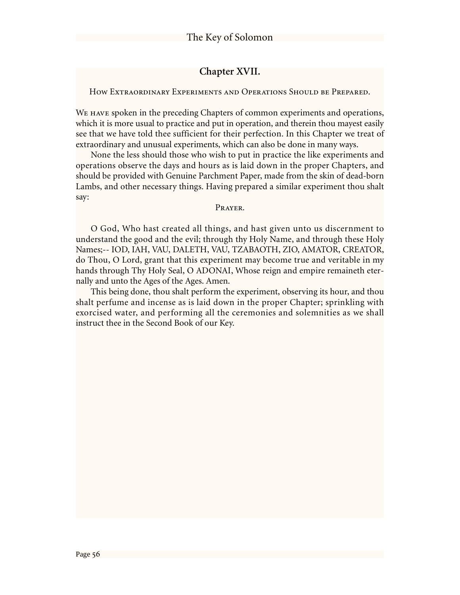# **Chapter XVII.**

### How Extraordinary Experiments and Operations Should be Prepared.

We have spoken in the preceding Chapters of common experiments and operations, which it is more usual to practice and put in operation, and therein thou mayest easily see that we have told thee sufficient for their perfection. In this Chapter we treat of extraordinary and unusual experiments, which can also be done in many ways.

None the less should those who wish to put in practice the like experiments and operations observe the days and hours as is laid down in the proper Chapters, and should be provided with Genuine Parchment Paper, made from the skin of dead-born Lambs, and other necessary things. Having prepared a similar experiment thou shalt say:

Prayer.

O God, Who hast created all things, and hast given unto us discernment to understand the good and the evil; through thy Holy Name, and through these Holy Names;-- IOD, IAH, VAU, DALETH, VAU, TZABAOTH, ZIO, AMATOR, CREATOR, do Thou, O Lord, grant that this experiment may become true and veritable in my hands through Thy Holy Seal, O ADONAI, Whose reign and empire remaineth eternally and unto the Ages of the Ages. Amen.

This being done, thou shalt perform the experiment, observing its hour, and thou shalt perfume and incense as is laid down in the proper Chapter; sprinkling with exorcised water, and performing all the ceremonies and solemnities as we shall instruct thee in the Second Book of our Key.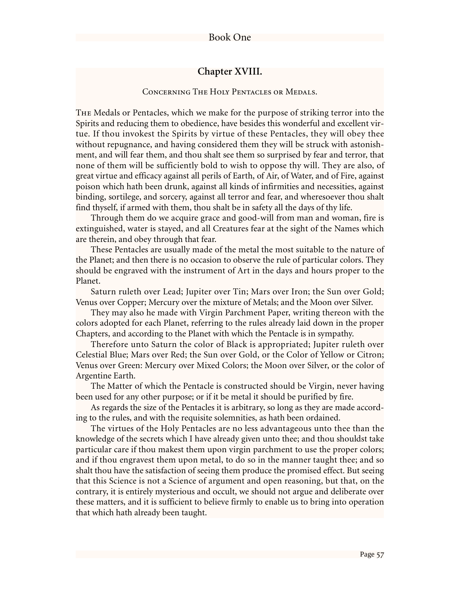### **Chapter XVIII.**

#### Concerning The Holy Pentacles or Medals.

The Medals or Pentacles, which we make for the purpose of striking terror into the Spirits and reducing them to obedience, have besides this wonderful and excellent virtue. If thou invokest the Spirits by virtue of these Pentacles, they will obey thee without repugnance, and having considered them they will be struck with astonishment, and will fear them, and thou shalt see them so surprised by fear and terror, that none of them will be sufficiently bold to wish to oppose thy will. They are also, of great virtue and efficacy against all perils of Earth, of Air, of Water, and of Fire, against poison which hath been drunk, against all kinds of infirmities and necessities, against binding, sortilege, and sorcery, against all terror and fear, and wheresoever thou shalt find thyself, if armed with them, thou shalt be in safety all the days of thy life.

Through them do we acquire grace and good-will from man and woman, fire is extinguished, water is stayed, and all Creatures fear at the sight of the Names which are therein, and obey through that fear.

These Pentacles are usually made of the metal the most suitable to the nature of the Planet; and then there is no occasion to observe the rule of particular colors. They should be engraved with the instrument of Art in the days and hours proper to the Planet.

Saturn ruleth over Lead; Jupiter over Tin; Mars over Iron; the Sun over Gold; Venus over Copper; Mercury over the mixture of Metals; and the Moon over Silver.

They may also he made with Virgin Parchment Paper, writing thereon with the colors adopted for each Planet, referring to the rules already laid down in the proper Chapters, and according to the Planet with which the Pentacle is in sympathy.

Therefore unto Saturn the color of Black is appropriated; Jupiter ruleth over Celestial Blue; Mars over Red; the Sun over Gold, or the Color of Yellow or Citron; Venus over Green: Mercury over Mixed Colors; the Moon over Silver, or the color of Argentine Earth.

The Matter of which the Pentacle is constructed should be Virgin, never having been used for any other purpose; or if it be metal it should be purified by fire.

As regards the size of the Pentacles it is arbitrary, so long as they are made according to the rules, and with the requisite solemnities, as hath been ordained.

The virtues of the Holy Pentacles are no less advantageous unto thee than the knowledge of the secrets which I have already given unto thee; and thou shouldst take particular care if thou makest them upon virgin parchment to use the proper colors; and if thou engravest them upon metal, to do so in the manner taught thee; and so shalt thou have the satisfaction of seeing them produce the promised effect. But seeing that this Science is not a Science of argument and open reasoning, but that, on the contrary, it is entirely mysterious and occult, we should not argue and deliberate over these matters, and it is sufficient to believe firmly to enable us to bring into operation that which hath already been taught.